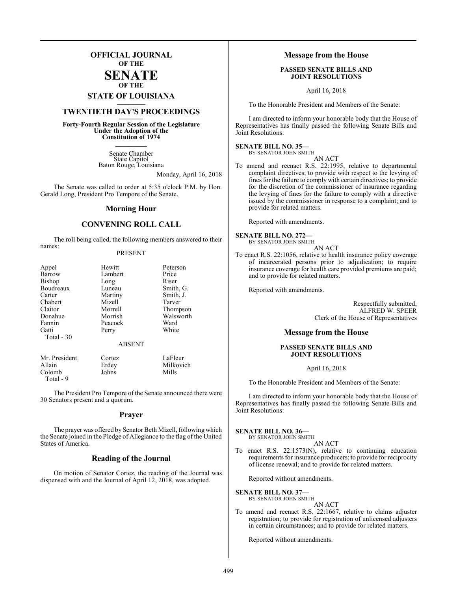## **OFFICIAL JOURNAL OF THE SENATE**

**OF THE**

## **STATE OF LOUISIANA \_\_\_\_\_\_\_**

## **TWENTIETH DAY'S PROCEEDINGS \_\_\_\_\_\_\_**

**Forty-Fourth Regular Session of the Legislature Under the Adoption of the Constitution of 1974 \_\_\_\_\_\_\_**

> Senate Chamber State Capitol Baton Rouge, Louisiana

> > Monday, April 16, 2018

The Senate was called to order at 5:35 o'clock P.M. by Hon. Gerald Long, President Pro Tempore of the Senate.

#### **Morning Hour**

#### **CONVENING ROLL CALL**

The roll being called, the following members answered to their names:

#### PRESENT

| Appel                                  | Hewitt        | Peterson      |
|----------------------------------------|---------------|---------------|
| Barrow                                 | Lambert       | Price         |
| Bishop                                 | Long          | Riser         |
| Boudreaux                              | Luneau        | Smith, G.     |
| Carter                                 | Martiny       | Smith, J.     |
| Chabert                                | Mizell        | Tarver        |
| Claitor                                | Morrell       | Thompson      |
| Donahue                                | Morrish       | Walsworth     |
| Fannin                                 | Peacock       | Ward          |
| Gatti<br>Total - 30                    | Perry         | White         |
|                                        | <b>ABSENT</b> |               |
| $M_{\rm H}$ D <sub>rea</sub> : $1 - 1$ | $\sim$ $-$    | $T = \Gamma1$ |

Mr. President Cortez LaFleur<br>Allain Erdey Milkovi Erdey Milkovich<br>Johns Mills Colomb Total - 9

The President Pro Tempore of the Senate announced there were 30 Senators present and a quorum.

#### **Prayer**

The prayer was offered by Senator Beth Mizell, following which the Senate joined in the Pledge of Allegiance to the flag of the United States of America.

#### **Reading of the Journal**

On motion of Senator Cortez, the reading of the Journal was dispensed with and the Journal of April 12, 2018, was adopted.

#### **Message from the House**

#### **PASSED SENATE BILLS AND JOINT RESOLUTIONS**

April 16, 2018

To the Honorable President and Members of the Senate:

I am directed to inform your honorable body that the House of Representatives has finally passed the following Senate Bills and Joint Resolutions:

#### **SENATE BILL NO. 35—**

BY SENATOR JOHN SMITH

AN ACT

To amend and reenact R.S. 22:1995, relative to departmental complaint directives; to provide with respect to the levying of fines for the failure to comply with certain directives; to provide for the discretion of the commissioner of insurance regarding the levying of fines for the failure to comply with a directive issued by the commissioner in response to a complaint; and to provide for related matters.

Reported with amendments.

#### **SENATE BILL NO. 272—**

BY SENATOR JOHN SMITH AN ACT

To enact R.S. 22:1056, relative to health insurance policy coverage of incarcerated persons prior to adjudication; to require insurance coverage for health care provided premiums are paid; and to provide for related matters.

Reported with amendments.

Respectfully submitted, ALFRED W. SPEER Clerk of the House of Representatives

#### **Message from the House**

#### **PASSED SENATE BILLS AND JOINT RESOLUTIONS**

April 16, 2018

To the Honorable President and Members of the Senate:

I am directed to inform your honorable body that the House of Representatives has finally passed the following Senate Bills and Joint Resolutions:

#### **SENATE BILL NO. 36—**

BY SENATOR JOHN SMITH AN ACT

To enact R.S. 22:1573(N), relative to continuing education requirements for insurance producers; to provide for reciprocity of license renewal; and to provide for related matters.

Reported without amendments.

#### **SENATE BILL NO. 37—**

BY SENATOR JOHN SMITH

AN ACT

To amend and reenact R.S. 22:1667, relative to claims adjuster registration; to provide for registration of unlicensed adjusters in certain circumstances; and to provide for related matters.

Reported without amendments.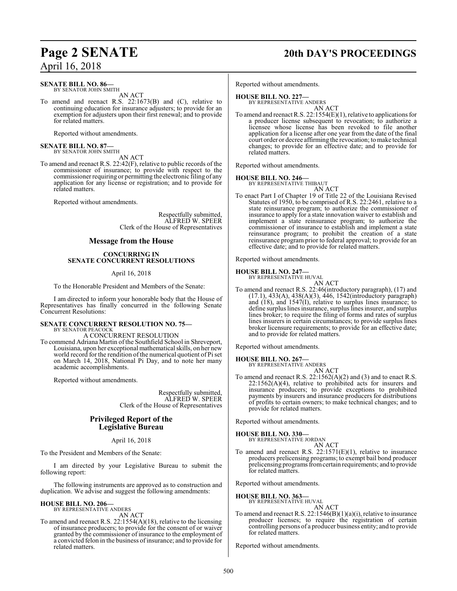## **Page 2 SENATE 20th DAY'S PROCEEDINGS**

#### **SENATE BILL NO. 86—** BY SENATOR JOHN SMITH

AN ACT

To amend and reenact R.S. 22:1673(B) and (C), relative to continuing education for insurance adjusters; to provide for an exemption for adjusters upon their first renewal; and to provide for related matters.

Reported without amendments.

## **SENATE BILL NO. 87—**<br>BY SENATOR JOHN SMITH

AN ACT

To amend and reenact R.S. 22:42(F), relative to public records of the commissioner of insurance; to provide with respect to the commissioner requiring or permitting the electronic filing of any application for any license or registration; and to provide for related matters.

Reported without amendments.

Respectfully submitted, ALFRED W. SPEER Clerk of the House of Representatives

### **Message from the House**

#### **CONCURRING IN SENATE CONCURRENT RESOLUTIONS**

#### April 16, 2018

To the Honorable President and Members of the Senate:

I am directed to inform your honorable body that the House of Representatives has finally concurred in the following Senate Concurrent Resolutions:

#### **SENATE CONCURRENT RESOLUTION NO. 75—** BY SENATOR PEACOCK

A CONCURRENT RESOLUTION

To commend Adriana Martin of the Southfield School in Shreveport, Louisiana, upon her exceptional mathematical skills, on her new world record for the rendition of the numerical quotient of Pi set on March 14, 2018, National Pi Day, and to note her many academic accomplishments.

Reported without amendments.

Respectfully submitted, ALFRED W. SPEER Clerk of the House of Representatives

### **Privileged Report of the Legislative Bureau**

April 16, 2018

To the President and Members of the Senate:

I am directed by your Legislative Bureau to submit the following report:

The following instruments are approved as to construction and duplication. We advise and suggest the following amendments:

#### **HOUSE BILL NO. 206—** BY REPRESENTATIVE ANDERS

AN ACT

To amend and reenact R.S. 22:1554(A)(18), relative to the licensing of insurance producers; to provide for the consent of or waiver granted by the commissioner of insurance to the employment of a convicted felon in the business of insurance; and to provide for related matters.

Reported without amendments.

## **HOUSE BILL NO. 227—**

BY REPRESENTATIVE ANDERS AN ACT

To amend and reenact R.S. 22:1554(E)(1), relative to applications for a producer license subsequent to revocation; to authorize a licensee whose license has been revoked to file another application for a license after one year from the date of the final court order or decree affirming the revocation; to make technical changes; to provide for an effective date; and to provide for related matters.

Reported without amendments.

## **HOUSE BILL NO. 246—** BY REPRESENTATIVE THIBAUT

AN ACT To enact Part I of Chapter 19 of Title 22 of the Louisiana Revised Statutes of 1950, to be comprised of R.S. 22:2461, relative to a state reinsurance program; to authorize the commissioner of insurance to apply for a state innovation waiver to establish and implement a state reinsurance program; to authorize the commissioner of insurance to establish and implement a state reinsurance program; to prohibit the creation of a state reinsurance program prior to federal approval; to provide for an effective date; and to provide for related matters.

Reported without amendments.

**HOUSE BILL NO. 247—**

BY REPRESENTATIVE HUVAL

AN ACT To amend and reenact R.S. 22:46(introductory paragraph), (17) and (17.1), 433(A), 438(A)(3), 446, 1542(introductory paragraph) and (18), and 1547(I), relative to surplus lines insurance; to define surplus lines insurance, surplus lines insurer, and surplus lines broker; to require the filing of forms and rates of surplus lines insurers in certain circumstances; to provide surplus lines broker licensure requirements; to provide for an effective date; and to provide for related matters.

Reported without amendments.

## **HOUSE BILL NO. 267—** BY REPRESENTATIVE ANDERS

AN ACT

To amend and reenact R.S.  $22:1562(A)(2)$  and (3) and to enact R.S.  $22:1562(A)(4)$ , relative to prohibited acts for insurers and insurance producers; to provide exceptions to prohibited payments by insurers and insurance producers for distributions of profits to certain owners; to make technical changes; and to provide for related matters.

Reported without amendments.

**HOUSE BILL NO. 330—** BY REPRESENTATIVE JORDAN

AN ACT

To amend and reenact R.S.  $22:1571(E)(1)$ , relative to insurance producers prelicensing programs; to exempt bail bond producer prelicensing programs fromcertain requirements; and to provide for related matters.

Reported without amendments.

**HOUSE BILL NO. 363—**

BY REPRESENTATIVE HUVAL

AN ACT To amend and reenact R.S. 22:1546(B)(1)(a)(i), relative to insurance producer licenses; to require the registration of certain controlling persons of a producer business entity; and to provide for related matters.

Reported without amendments.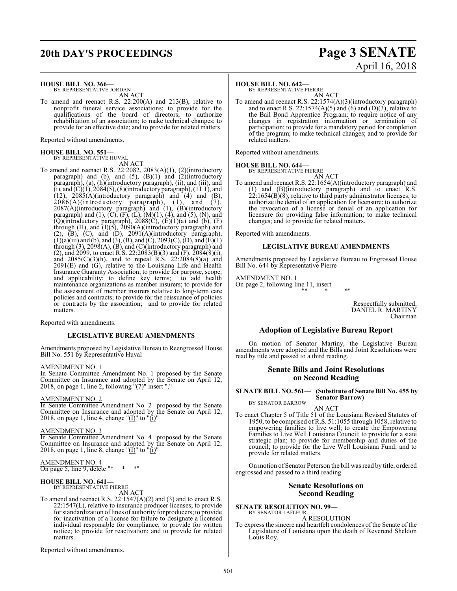## **20th DAY'S PROCEEDINGS Page 3 SENATE**

# April 16, 2018

**HOUSE BILL NO. 366—**

BY REPRESENTATIVE JORDAN AN ACT

To amend and reenact R.S. 22:200(A) and 213(B), relative to nonprofit funeral service associations; to provide for the qualifications of the board of directors; to authorize rehabilitation of an association; to make technical changes; to provide for an effective date; and to provide for related matters.

Reported without amendments.

## **HOUSE BILL NO. 551—** BY REPRESENTATIVE HUVAL

AN ACT

To amend and reenact R.S. 22:2082, 2083(A)(1), (2)(introductory paragraph) and (b), and  $(5)$ ,  $(B)(1)$  and  $(2)$ (introductory paragraph), (a), (h)(introductory paragraph), (ii), and (iii), and  $(i)$ , and  $(C)(1)$ , 2084(5), (8)(introductory paragraph), (11.1), and  $(12)$ ,  $2085(A)$ (introductory paragraph) and  $(4)$  and  $(B)$ ,  $2086(A)$ (introductory paragraph), (1), and (7), 2087(A)(introductory paragraph) and (1), (B)(introductory paragraph) and  $(1)$ ,  $(C)$ ,  $(F)$ ,  $(L)$ ,  $(M)(1)$ ,  $(4)$ , and  $(5)$ ,  $(N)$ , and  $(Q)$ (introductory paragraph), 2088 $(C)$ ,  $(E)(1)(a)$  and  $(b)$ ,  $(F)$ through  $(H)$ , and  $(I)(5)$ , 2090 $(A)(introductiony$  paragraph) and  $(2)$ ,  $(B)$ ,  $(C)$ , and  $(D)$ ,  $2091(A)$ (introductory paragraph),  $(1)(a)$ (iii) and (b), and (3), (B), and (C), 2093(C), (D), and (E)(1) through (3), 2098(A), (B), and (C)(introductory paragraph) and (2), and 2099, to enact R.S. 22:2083(B)(3) and (F),  $\overline{2084(8)}$ (i), and 2085(C)(3)(h), and to repeal R.S. 22:2084(8)(a) and  $2091(E)$  and  $(G)$ , relative to the Louisiana Life and Health Insurance Guaranty Association; to provide for purpose, scope, and applicability; to define key terms; to add health maintenance organizations as member insurers; to provide for the assessment of member insurers relative to long-term care policies and contracts; to provide for the reissuance of policies or contracts by the association; and to provide for related matters.

Reported with amendments.

#### **LEGISLATIVE BUREAU AMENDMENTS**

Amendments proposed by Legislative Bureau to Reengrossed House Bill No. 551 by Representative Huval

#### AMENDMENT NO. 1

In Senate Committee Amendment No. 1 proposed by the Senate Committee on Insurance and adopted by the Senate on April 12, 2018, on page 1, line 2, following  $!(7)$ " insert ","

#### AMENDMENT NO. 2

In Senate Committee Amendment No. 2 proposed by the Senate Committee on Insurance and adopted by the Senate on April 12, 2018, on page 1, line 4, change " $(\underline{I})$ " to " $(\underline{i})$ "

#### AMENDMENT NO. 3

In Senate Committee Amendment No. 4 proposed by the Senate Committee on Insurance and adopted by the Senate on April 12, 2018, on page 1, line 8, change " $(I)$ " to " $(i)$ "

AMENDMENT NO. 4 On page 5, line 9, delete "\* \*

#### **HOUSE BILL NO. 641—**

BY REPRESENTATIVE PIERRE

AN ACT

To amend and reenact R.S. 22:1547(A)(2) and (3) and to enact R.S. 22:1547(L), relative to insurance producer licenses; to provide for standardization oflines of authority for producers; to provide for inactivation of a license for failure to designate a licensed individual responsible for compliance; to provide for written notice; to provide for reactivation; and to provide for related matters.

Reported without amendments.

#### **HOUSE BILL NO. 642—**

BY REPRESENTATIVE PIERRE AN ACT

To amend and reenact R.S. 22:1574(A)(3)(introductory paragraph) and to enact R.S. 22:1574(A)(5) and (6) and (D)(3), relative to the Bail Bond Apprentice Program; to require notice of any changes in registration information or termination of participation; to provide for a mandatory period for completion of the program; to make technical changes; and to provide for related matters.

Reported without amendments.

#### **HOUSE BILL NO. 644—**

BY REPRESENTATIVE PIERRE

- AN ACT
- To amend and reenact R.S. 22:1654(A)(introductory paragraph) and (1) and (B)(introductory paragraph) and to enact R.S.  $22:1654(B)(8)$ , relative to third party administrator licenses; to authorize the denial of an application for licensure; to authorize the revocation of a license or denial of an application for licensure for providing false information; to make technical changes; and to provide for related matters.

Reported with amendments.

#### **LEGISLATIVE BUREAU AMENDMENTS**

Amendments proposed by Legislative Bureau to Engrossed House Bill No. 644 by Representative Pierre

AMENDMENT NO. 1 On page 2, following line 11, insert "\* \* \*"

> Respectfully submitted, DANIEL R. MARTINY Chairman

#### **Adoption of Legislative Bureau Report**

On motion of Senator Martiny, the Legislative Bureau amendments were adopted and the Bills and Joint Resolutions were read by title and passed to a third reading.

#### **Senate Bills and Joint Resolutions on Second Reading**

#### **SENATE BILL NO. 561— (Substitute of Senate Bill No. 455 by Senator Barrow)** BY SENATOR BARROW

AN ACT

To enact Chapter 5 of Title 51 of the Louisiana Revised Statutes of 1950, to be comprised of R.S. 51:1055 through 1058, relative to empowering families to live well; to create the Empowering Families to Live Well Louisiana Council; to provide for a state strategic plan; to provide for membership and duties of the council; to provide for the Live Well Louisiana Fund; and to provide for related matters.

On motion of Senator Peterson the bill was read by title, ordered engrossed and passed to a third reading.

#### **Senate Resolutions on Second Reading**

**SENATE RESOLUTION NO. 99—** BY SENATOR LAFLEUR

A RESOLUTION

To express the sincere and heartfelt condolences of the Senate of the Legislature of Louisiana upon the death of Reverend Sheldon Louis Roy.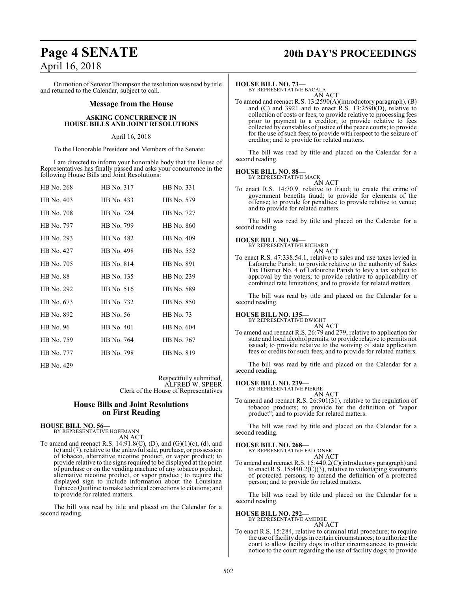On motion of Senator Thompson the resolution was read by title and returned to the Calendar, subject to call.

#### **Message from the House**

#### **ASKING CONCURRENCE IN HOUSE BILLS AND JOINT RESOLUTIONS**

#### April 16, 2018

To the Honorable President and Members of the Senate:

I am directed to inform your honorable body that the House of Representatives has finally passed and asks your concurrence in the following House Bills and Joint Resolutions:

| HB No. 268 | HB No. 317 | HB No. 331 |
|------------|------------|------------|
| HB No. 403 | HB No. 433 | HB No. 579 |
| HB No. 708 | HB No. 724 | HB No. 727 |
| HB No. 797 | HB No. 799 | HB No. 860 |
| HB No. 293 | HB No. 482 | HB No. 409 |
| HB No. 427 | HB No. 498 | HB No. 552 |
| HB No. 705 | HB No. 814 | HB No. 891 |
| HB No. 88  | HB No. 135 | HB No. 239 |
| HB No. 292 | HB No. 516 | HB No. 589 |
| HB No. 673 | HB No. 732 | HB No. 850 |
| HB No. 892 | HB No. 56  | HB No. 73  |
| HB No. 96  | HB No. 401 | HB No. 604 |
| HB No. 759 | HB No. 764 | HB No. 767 |
| HB No. 777 | HB No. 798 | HB No. 819 |
|            |            |            |

Respectfully submitted, ALFRED W. SPEER Clerk of the House of Representatives

#### **House Bills and Joint Resolutions on First Reading**

#### **HOUSE BILL NO. 56—**

HB No. 429

BY REPRESENTATIVE HOFFMANN AN ACT

To amend and reenact R.S. 14:91.8(C), (D), and (G)(1)(c), (d), and (e) and (7), relative to the unlawful sale, purchase, or possession of tobacco, alternative nicotine product, or vapor product; to provide relative to the signs required to be displayed at the point of purchase or on the vending machine of any tobacco product, alternative nicotine product, or vapor product; to require the displayed sign to include information about the Louisiana TobaccoQuitline; tomake technical corrections to citations; and to provide for related matters.

The bill was read by title and placed on the Calendar for a second reading.

## **Page 4 SENATE 20th DAY'S PROCEEDINGS**

#### **HOUSE BILL NO. 73—**

BY REPRESENTATIVE BACALA AN ACT

To amend and reenact R.S. 13:2590(A)(introductory paragraph), (B) and  $(C)$  and 3921 and to enact  $\hat{R}$ . S. 13:2590 $(D)$ , relative to collection of costs or fees; to provide relative to processing fees prior to payment to a creditor; to provide relative to fees collected by constables of justice of the peace courts; to provide for the use of such fees; to provide with respect to the seizure of creditor; and to provide for related matters.

The bill was read by title and placed on the Calendar for a second reading.

#### **HOUSE BILL NO. 88—**

BY REPRESENTATIVE MACK AN ACT

To enact R.S. 14:70.9, relative to fraud; to create the crime of government benefits fraud; to provide for elements of the offense; to provide for penalties; to provide relative to venue; and to provide for related matters.

The bill was read by title and placed on the Calendar for a second reading.

## **HOUSE BILL NO. 96—**

BY REPRESENTATIVE RICHARD AN ACT

To enact R.S. 47:338.54.1, relative to sales and use taxes levied in Lafourche Parish; to provide relative to the authority of Sales Tax District No. 4 of Lafourche Parish to levy a tax subject to approval by the voters; to provide relative to applicability of combined rate limitations; and to provide for related matters.

The bill was read by title and placed on the Calendar for a second reading.

#### **HOUSE BILL NO. 135—**

BY REPRESENTATIVE DWIGHT AN ACT

To amend and reenact R.S. 26:79 and 279, relative to application for state and local alcohol permits; to provide relative to permits not issued; to provide relative to the waiving of state application fees or credits for such fees; and to provide for related matters.

The bill was read by title and placed on the Calendar for a second reading.

#### **HOUSE BILL NO. 239—**

BY REPRESENTATIVE PIERRE

AN ACT To amend and reenact R.S. 26:901(31), relative to the regulation of tobacco products; to provide for the definition of "vapor product"; and to provide for related matters.

The bill was read by title and placed on the Calendar for a second reading.

#### **HOUSE BILL NO. 268—**

BY REPRESENTATIVE FALCONER

AN ACT To amend and reenact R.S. 15:440.2(C)(introductory paragraph) and to enact R.S. 15:440.2(C)(3), relative to videotaping statements of protected persons; to amend the definition of a protected person; and to provide for related matters.

The bill was read by title and placed on the Calendar for a second reading.

#### **HOUSE BILL NO. 292—**

BY REPRESENTATIVE AMEDEE AN ACT

To enact R.S. 15:284, relative to criminal trial procedure; to require the use of facility dogs in certain circumstances; to authorize the court to allow facility dogs in other circumstances; to provide notice to the court regarding the use of facility dogs; to provide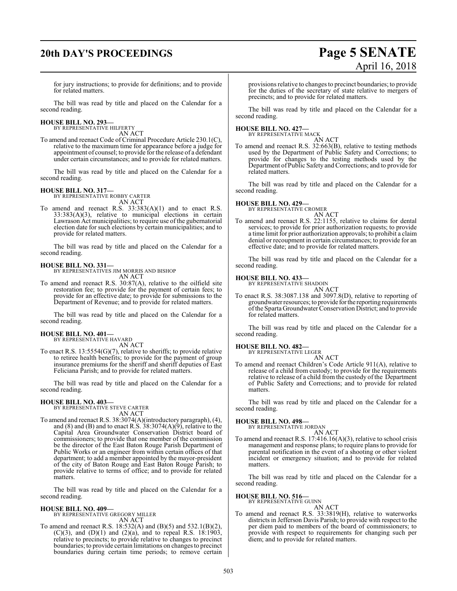# **20th DAY'S PROCEEDINGS Page 5 SENATE**

# April 16, 2018

for jury instructions; to provide for definitions; and to provide for related matters.

The bill was read by title and placed on the Calendar for a second reading.

#### **HOUSE BILL NO. 293—**

BY REPRESENTATIVE HILFERTY AN ACT

To amend and reenact Code of Criminal Procedure Article 230.1(C), relative to the maximum time for appearance before a judge for appointment of counsel; to provide for the release of a defendant under certain circumstances; and to provide for related matters.

The bill was read by title and placed on the Calendar for a second reading.

#### **HOUSE BILL NO. 317—**

BY REPRESENTATIVE ROBBY CARTER AN ACT

To amend and reenact R.S. 33:383(A)(1) and to enact R.S.  $33:383(A)(3)$ , relative to municipal elections in certain Lawrason Act municipalities; to require use of the gubernatorial election date for such elections by certain municipalities; and to provide for related matters.

The bill was read by title and placed on the Calendar for a second reading.

#### **HOUSE BILL NO. 331—**

BY REPRESENTATIVES JIM MORRIS AND BISHOP AN ACT

To amend and reenact R.S. 30:87(A), relative to the oilfield site restoration fee; to provide for the payment of certain fees; to provide for an effective date; to provide for submissions to the Department of Revenue; and to provide for related matters.

The bill was read by title and placed on the Calendar for a second reading.

#### **HOUSE BILL NO. 401—**

BY REPRESENTATIVE HAVARD

AN ACT

To enact R.S. 13:5554(G)(7), relative to sheriffs; to provide relative to retiree health benefits; to provide for the payment of group insurance premiums for the sheriff and sheriff deputies of East Feliciana Parish; and to provide for related matters.

The bill was read by title and placed on the Calendar for a second reading.

#### **HOUSE BILL NO. 403—**

BY REPRESENTATIVE STEVE CARTER AN ACT

To amend and reenact R.S. 38:3074(A)(introductory paragraph), (4), and (8) and (B) and to enact R.S.  $38:3074(A)(9)$ , relative to the Capital Area Groundwater Conservation District board of commissioners; to provide that one member of the commission be the director of the East Baton Rouge Parish Department of Public Works or an engineer from within certain offices of that department; to add a member appointed by the mayor-president of the city of Baton Rouge and East Baton Rouge Parish; to provide relative to terms of office; and to provide for related matters.

The bill was read by title and placed on the Calendar for a second reading.

**HOUSE BILL NO. 409—** BY REPRESENTATIVE GREGORY MILLER AN ACT

To amend and reenact R.S. 18:532(A) and (B)(5) and 532.1(B)(2), (C)(3), and (D)(1) and (2)(a), and to repeal R.S.  $18:1903$ , relative to precincts; to provide relative to changes to precinct boundaries; to provide certain limitations on changes to precinct boundaries during certain time periods; to remove certain provisions relative to changes to precinct boundaries; to provide for the duties of the secretary of state relative to mergers of precincts; and to provide for related matters.

The bill was read by title and placed on the Calendar for a second reading.

#### **HOUSE BILL NO. 427—** BY REPRESENTATIVE MACK

AN ACT

To amend and reenact R.S. 32:663(B), relative to testing methods used by the Department of Public Safety and Corrections; to provide for changes to the testing methods used by the Department of Public Safety and Corrections; and to provide for related matters.

The bill was read by title and placed on the Calendar for a second reading.

## **HOUSE BILL NO. 429—** BY REPRESENTATIVE CROMER

AN ACT

To amend and reenact R.S. 22:1155, relative to claims for dental services; to provide for prior authorization requests; to provide a time limit for prior authorization approvals; to prohibit a claim denial or recoupment in certain circumstances; to provide for an effective date; and to provide for related matters.

The bill was read by title and placed on the Calendar for a second reading.

#### **HOUSE BILL NO. 433—**

BY REPRESENTATIVE SHADOIN AN ACT

To enact R.S. 38:3087.138 and 3097.8(D), relative to reporting of groundwater resources; to provide forthe reporting requirements ofthe Sparta Groundwater Conservation District; and to provide for related matters.

The bill was read by title and placed on the Calendar for a second reading.

#### **HOUSE BILL NO. 482—**

BY REPRESENTATIVE LEGER

AN ACT

To amend and reenact Children's Code Article 911(A), relative to release of a child from custody; to provide for the requirements relative to release of a child from the custody of the Department of Public Safety and Corrections; and to provide for related matters.

The bill was read by title and placed on the Calendar for a second reading.

## **HOUSE BILL NO. 498—** BY REPRESENTATIVE JORDAN

AN ACT To amend and reenact R.S. 17:416.16(A)(3), relative to school crisis management and response plans; to require plans to provide for parental notification in the event of a shooting or other violent incident or emergency situation; and to provide for related matters.

The bill was read by title and placed on the Calendar for a second reading.

#### **HOUSE BILL NO. 516—**

BY REPRESENTATIVE GUINN

- AN ACT
- To amend and reenact R.S. 33:3819(H), relative to waterworks districts in Jefferson Davis Parish; to provide with respect to the per diem paid to members of the board of commissioners; to provide with respect to requirements for changing such per diem; and to provide for related matters.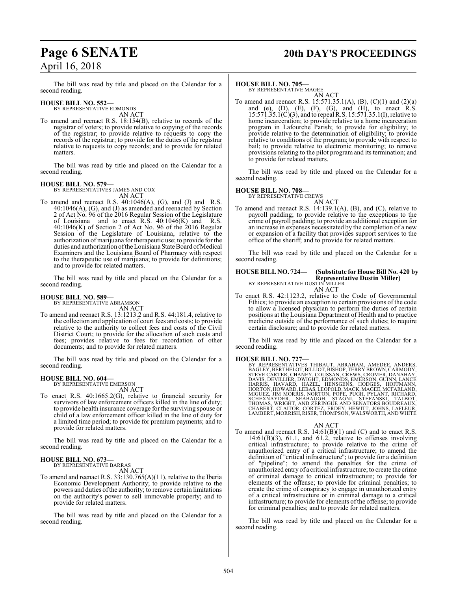## **Page 6 SENATE 20th DAY'S PROCEEDINGS**

The bill was read by title and placed on the Calendar for a second reading.

#### **HOUSE BILL NO. 552—**

BY REPRESENTATIVE EDMONDS AN ACT

To amend and reenact R.S. 18:154(B), relative to records of the registrar of voters; to provide relative to copying of the records of the registrar; to provide relative to requests to copy the records of the registrar; to provide for the duties of the registrar relative to requests to copy records; and to provide for related matters.

The bill was read by title and placed on the Calendar for a second reading.

#### **HOUSE BILL NO. 579—**

BY REPRESENTATIVES JAMES AND COX AN ACT

To amend and reenact R.S.  $40:1046(A)$ , (G), and (J) and R.S. 40:1046(A), (G), and (J) as amended and reenacted by Section 2 of Act No. 96 of the 2016 Regular Session of the Legislature of Louisiana and to enact R.S. 40:1046(K) and R.S. 40:1046(K) of Section 2 of Act No. 96 of the 2016 Regular Session of the Legislature of Louisiana, relative to the authorization of marijuana for therapeutic use; to provide for the duties and authorization of the Louisiana State Board of Medical Examiners and the Louisiana Board of Pharmacy with respect to the therapeutic use of marijuana; to provide for definitions; and to provide for related matters.

The bill was read by title and placed on the Calendar for a second reading.

#### **HOUSE BILL NO. 589—**

BY REPRESENTATIVE ABRAMSON AN ACT

To amend and reenact R.S. 13:1213.2 and R.S. 44:181.4, relative to the collection and application of court fees and costs; to provide relative to the authority to collect fees and costs of the Civil District Court; to provide for the allocation of such costs and fees; provides relative to fees for recordation of other documents; and to provide for related matters.

The bill was read by title and placed on the Calendar for a second reading.

#### **HOUSE BILL NO. 604—** BY REPRESENTATIVE EMERSON

AN ACT

To enact R.S. 40:1665.2(G), relative to financial security for survivors of law enforcement officers killed in the line of duty; to provide health insurance coverage for the surviving spouse or child of a law enforcement officer killed in the line of duty for a limited time period; to provide for premium payments; and to provide for related matters.

The bill was read by title and placed on the Calendar for a second reading.

#### **HOUSE BILL NO. 673—** BY REPRESENTATIVE BARRAS

AN ACT

To amend and reenact R.S. 33:130.765(A)(11), relative to the Iberia Economic Development Authority; to provide relative to the powers and duties ofthe authority; to remove certain limitations on the authority's power to sell immovable property; and to provide for related matters.

The bill was read by title and placed on the Calendar for a second reading.

#### **HOUSE BILL NO. 705—**

BY REPRESENTATIVE MAGEE AN ACT

To amend and reenact R.S. 15:571.35.1(A), (B), (C)(1) and (2)(a) and (e),  $(D)$ ,  $(E)$ ,  $(F)$ ,  $(G)$ , and  $(H)$ , to enact  $R.S$ . 15:571.35.1(C)(3), and to repeal R.S. 15:571.35.1(I), relative to home incarceration; to provide relative to a home incarceration program in Lafourche Parish; to provide for eligibility; to provide relative to the determination of eligibility; to provide relative to conditions of the program; to provide with respect to bail; to provide relative to electronic monitoring; to remove provisions relating to the pilot program and its termination; and to provide for related matters.

The bill was read by title and placed on the Calendar for a second reading.

#### **HOUSE BILL NO. 708—**

BY REPRESENTATIVE CREWS

AN ACT To amend and reenact R.S. 14:139.1(A), (B), and (C), relative to payroll padding; to provide relative to the exceptions to the crime of payroll padding; to provide an additional exception for an increase in expenses necessitated by the completion of a new or expansion of a facility that provides support services to the office of the sheriff; and to provide for related matters.

The bill was read by title and placed on the Calendar for a second reading.

#### **HOUSE BILL NO. 724— (Substitute for House Bill No. 420 by Representative Dustin Miller)** BY REPRESENTATIVE DUSTIN MILLER AN ACT

To enact R.S. 42:1123.2, relative to the Code of Governmental Ethics; to provide an exception to certain provisions of the code to allow a licensed physician to perform the duties of certain positions at the Louisiana Department of Health and to practice medicine outside of the performance of such duties; to require certain disclosure; and to provide for related matters.

The bill was read by title and placed on the Calendar for a second reading.

HOUSE BILL NO. 727—<br>BY REPRESENTATIVES THIBAUT, ABRAHAM, AMEDEE, ANDERS, BAGLEY, BERTHELOT, BILLIOT, BISHOP, TERRY BROWN, CARMODY,<br>STEVE CARTER, CHANEY, COUSSAN, CREWS, CROMER, DANAHAY,<br>DAVIS, DEVILLIER, DWIGHT, EDMONDS, E LAMBERT, MORRISH, RISER, THOMPSON, WALSWORTH, AND WHITE

#### AN ACT

To amend and reenact R.S. 14:61(B)(1) and (C) and to enact R.S.  $14:61(B)(3)$ ,  $61.1$ , and  $61.2$ , relative to offenses involving critical infrastructure; to provide relative to the crime of unauthorized entry of a critical infrastructure; to amend the definition of "critical infrastructure"; to provide for a definition of "pipeline"; to amend the penalties for the crime of unauthorized entry of a critical infrastructure; to create the crime of criminal damage to critical infrastructure; to provide for elements of the offense; to provide for criminal penalties; to create the crime of conspiracy to engage in unauthorized entry of a critical infrastructure or in criminal damage to a critical infrastructure; to provide for elements ofthe offense; to provide for criminal penalties; and to provide for related matters.

The bill was read by title and placed on the Calendar for a second reading.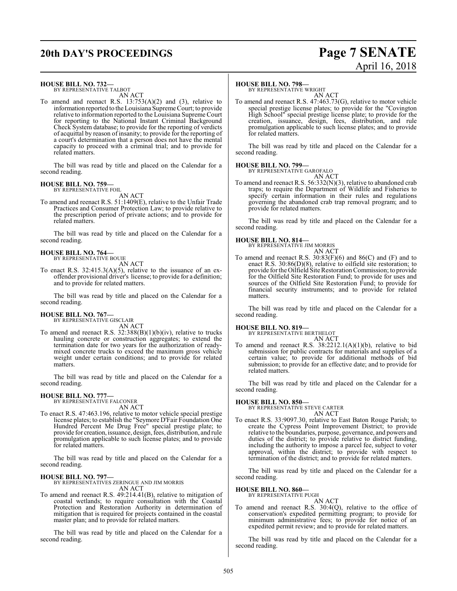## **20th DAY'S PROCEEDINGS Page 7 SENATE**

# April 16, 2018

#### **HOUSE BILL NO. 732—**

BY REPRESENTATIVE TALBOT AN ACT

To amend and reenact R.S. 13:753(A)(2) and (3), relative to information reported to the Louisiana Supreme Court; to provide relative to information reported to the Louisiana Supreme Court for reporting to the National Instant Criminal Background Check System database; to provide for the reporting of verdicts of acquittal by reason of insanity; to provide for the reporting of a court's determination that a person does not have the mental capacity to proceed with a criminal trial; and to provide for related matters.

The bill was read by title and placed on the Calendar for a second reading.

#### **HOUSE BILL NO. 759—**

BY REPRESENTATIVE FOIL AN ACT

To amend and reenact R.S. 51:1409(E), relative to the Unfair Trade Practices and Consumer Protection Law; to provide relative to the prescription period of private actions; and to provide for related matters.

The bill was read by title and placed on the Calendar for a second reading.

## **HOUSE BILL NO. 764—** BY REPRESENTATIVE BOUIE

AN ACT

To enact R.S.  $32:415.3(A)(5)$ , relative to the issuance of an exoffender provisional driver's license; to provide for a definition; and to provide for related matters.

The bill was read by title and placed on the Calendar for a second reading.

#### **HOUSE BILL NO. 767—** BY REPRESENTATIVE GISCLAIR

AN ACT

To amend and reenact R.S. 32:388(B)(1)(b)(iv), relative to trucks hauling concrete or construction aggregates; to extend the termination date for two years for the authorization of readymixed concrete trucks to exceed the maximum gross vehicle weight under certain conditions; and to provide for related matters.

The bill was read by title and placed on the Calendar for a second reading.

#### **HOUSE BILL NO. 777—**

BY REPRESENTATIVE FALCONER AN ACT

To enact R.S. 47:463.196, relative to motor vehicle special prestige license plates; to establish the "Seymore D'Fair Foundation One Hundred Percent Me Drug Free" special prestige plate; to provide for creation, issuance, design, fees, distribution, and rule promulgation applicable to such license plates; and to provide for related matters.

The bill was read by title and placed on the Calendar for a second reading.

#### **HOUSE BILL NO. 797—**

BY REPRESENTATIVES ZERINGUE AND JIM MORRIS AN ACT

To amend and reenact R.S. 49:214.41(B), relative to mitigation of coastal wetlands; to require consultation with the Coastal Protection and Restoration Authority in determination of mitigation that is required for projects contained in the coastal master plan; and to provide for related matters.

The bill was read by title and placed on the Calendar for a second reading.

#### **HOUSE BILL NO. 798—**

BY REPRESENTATIVE WRIGHT AN ACT

To amend and reenact R.S. 47:463.73(G), relative to motor vehicle special prestige license plates; to provide for the "Covington High School" special prestige license plate; to provide for the creation, issuance, design, fees, distribution, and rule promulgation applicable to such license plates; and to provide for related matters.

The bill was read by title and placed on the Calendar for a second reading.

#### **HOUSE BILL NO. 799—** BY REPRE

AN ACT

To amend and reenact R.S. 56:332(N)(3), relative to abandoned crab traps; to require the Department of Wildlife and Fisheries to specify certain information in their rules and regulations governing the abandoned crab trap removal program; and to provide for related matters.

The bill was read by title and placed on the Calendar for a second reading.

#### **HOUSE BILL NO. 814—**



To amend and reenact R.S. 30:83(F)(6) and 86(C) and (F) and to enact R.S. 30:86(D)(8), relative to oilfield site restoration; to provide for the Oilfield Site Restoration Commission; to provide for the Oilfield Site Restoration Fund; to provide for uses and sources of the Oilfield Site Restoration Fund; to provide for financial security instruments; and to provide for related matters.

The bill was read by title and placed on the Calendar for a second reading.

## **HOUSE BILL NO. 819—** BY REPRESENTATIVE BERTHELOT

AN ACT

To amend and reenact R.S. 38:2212.1(A)(1)(b), relative to bid submission for public contracts for materials and supplies of a certain value; to provide for additional methods of bid submission; to provide for an effective date; and to provide for related matters.

The bill was read by title and placed on the Calendar for a second reading.

#### **HOUSE BILL NO. 850—**

BY REPRESENTATIVE STEVE CARTER AN ACT

To enact R.S. 33:9097.30, relative to East Baton Rouge Parish; to create the Cypress Point Improvement District; to provide relative to the boundaries, purpose, governance, and powers and duties of the district; to provide relative to district funding, including the authority to impose a parcel fee, subject to voter approval, within the district; to provide with respect to termination of the district; and to provide for related matters.

The bill was read by title and placed on the Calendar for a second reading.

#### **HOUSE BILL NO. 860—**

BY REPRESENTATIVE PUGH AN ACT

To amend and reenact R.S. 30:4(Q), relative to the office of conservation's expedited permitting program; to provide for minimum administrative fees; to provide for notice of an expedited permit review; and to provide for related matters.

The bill was read by title and placed on the Calendar for a second reading.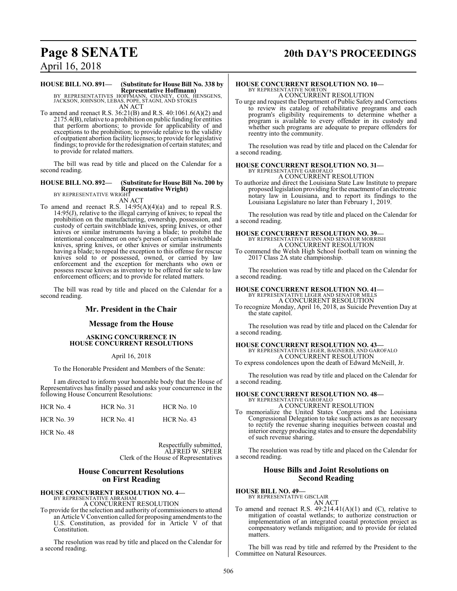## **Page 8 SENATE 20th DAY'S PROCEEDINGS**

# April 16, 2018

#### **HOUSE BILL NO. 891— (Substitute for House Bill No. 338 by Representative Hoffmann)**

BY REPRESENTATIVES HOFFMANN, CHANEY, COX, HENSGENS, JACKSON, JOHNSON, LEBAS, POPE, STAGNI, AND STOKES AN ACT

To amend and reenact R.S. 36:21(B) and R.S. 40:1061.6(A)(2) and 2175.4(B), relative to a prohibition on public funding for entities that perform abortions; to provide for applicability of and exceptions to the prohibition; to provide relative to the validity of outpatient abortion facility licenses; to provide for legislative findings; to provide for the redesignation of certain statutes; and to provide for related matters.

The bill was read by title and placed on the Calendar for a second reading.

#### **HOUSE BILL NO. 892— (Substitute for House Bill No. 200 by Representative Wright)** BY REPRESENTATIVE WRIGHT

AN ACT

To amend and reenact R.S. 14:95(A)(4)(a) and to repeal R.S. 14:95(J), relative to the illegal carrying of knives; to repeal the prohibition on the manufacturing, ownership, possession, and custody of certain switchblade knives, spring knives, or other knives or similar instruments having a blade; to prohibit the intentional concealment on one's person of certain switchblade knives, spring knives, or other knives or similar instruments having a blade; to repeal the exception to this offense for rescue knives sold to or possessed, owned, or carried by law enforcement and the exception for merchants who own or possess rescue knives as inventory to be offered for sale to law enforcement officers; and to provide for related matters.

The bill was read by title and placed on the Calendar for a second reading.

#### **Mr. President in the Chair**

#### **Message from the House**

#### **ASKING CONCURRENCE IN HOUSE CONCURRENT RESOLUTIONS**

April 16, 2018

To the Honorable President and Members of the Senate:

I am directed to inform your honorable body that the House of Representatives has finally passed and asks your concurrence in the following House Concurrent Resolutions:

| HCR No. 4    | <b>HCR No. 31</b> | $HCR$ No. 10 |
|--------------|-------------------|--------------|
| $HCR$ No. 39 | <b>HCR No. 41</b> | $HCR$ No. 43 |

HCR No. 48

Respectfully submitted, ALFRED W. SPEER Clerk of the House of Representatives

#### **House Concurrent Resolutions on First Reading**

**HOUSE CONCURRENT RESOLUTION NO. 4—**

BY REPRESENTATIVE ABRAHAM A CONCURRENT RESOLUTION

To provide for the selection and authority of commissioners to attend an Article V Convention called for proposing amendments to the U.S. Constitution, as provided for in Article V of that Constitution.

The resolution was read by title and placed on the Calendar for a second reading.

### **HOUSE CONCURRENT RESOLUTION NO. 10—** BY REPRESENTATIVE NORTON A CONCURRENT RESOLUTION

To urge and request the Department of Public Safety and Corrections to review its catalog of rehabilitative programs and each program's eligibility requirements to determine whether a program is available to every offender in its custody and whether such programs are adequate to prepare offenders for reentry into the community.

The resolution was read by title and placed on the Calendar for a second reading.

#### **HOUSE CONCURRENT RESOLUTION NO. 31—** BY REPRESENTATIVE GAROFALO A CONCURRENT RESOLUTION

To authorize and direct the Louisiana State Law Institute to prepare proposed legislation providing for the enactment of an electronic notary law in Louisiana, and to report its findings to the Louisiana Legislature no later than February 1, 2019.

The resolution was read by title and placed on the Calendar for a second reading.

## **HOUSE CONCURRENT RESOLUTION NO. 39—**

BY REPRESENTATIVE GUINN AND SENATOR MORRISH A CONCURRENT RESOLUTION

To commend the Welsh High School football team on winning the 2017 Class 2A state championship.

The resolution was read by title and placed on the Calendar for a second reading.

#### **HOUSE CONCURRENT RESOLUTION NO. 41—**

BY REPRESENTATIVE LEGER AND SENATOR MILLS A CONCURRENT RESOLUTION

To recognize Monday, April 16, 2018, as Suicide Prevention Day at the state capitol.

The resolution was read by title and placed on the Calendar for a second reading.

**HOUSE CONCURRENT RESOLUTION NO. 43—** BY REPRESENTATIVES LEGER, BAGNERIS, AND GAROFALO A CONCURRENT RESOLUTION

To express condolences upon the death of Edward McNeill, Jr.

The resolution was read by title and placed on the Calendar for a second reading.

## **HOUSE CONCURRENT RESOLUTION NO. 48—** BY REPRESENTATIVE GAROFALO

- A CONCURRENT RESOLUTION
- To memorialize the United States Congress and the Louisiana Congressional Delegation to take such actions as are necessary to rectify the revenue sharing inequities between coastal and interior energy producing states and to ensure the dependability of such revenue sharing.

The resolution was read by title and placed on the Calendar for a second reading.

#### **House Bills and Joint Resolutions on Second Reading**

## **HOUSE BILL NO. 49—** BY REPRESENTATIVE GISCLAIR

AN ACT

To amend and reenact R.S.  $49:214.41(A)(1)$  and (C), relative to mitigation of coastal wetlands; to authorize construction or implementation of an integrated coastal protection project as compensatory wetlands mitigation; and to provide for related matters.

The bill was read by title and referred by the President to the Committee on Natural Resources.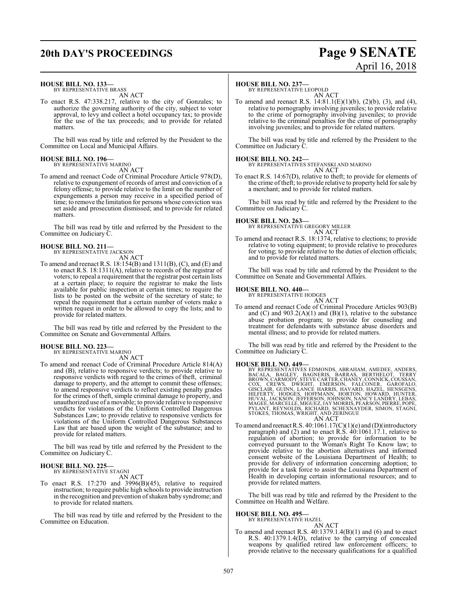#### **HOUSE BILL NO. 133—**

BY REPRESENTATIVE BRASS AN ACT

To enact R.S. 47:338.217, relative to the city of Gonzales; to authorize the governing authority of the city, subject to voter approval, to levy and collect a hotel occupancy tax; to provide for the use of the tax proceeds; and to provide for related matters.

The bill was read by title and referred by the President to the Committee on Local and Municipal Affairs.

### **HOUSE BILL NO. 196—**

BY REPRESENTATIVE MARINO AN ACT

To amend and reenact Code of Criminal Procedure Article 978(D), relative to expungement of records of arrest and conviction of a felony offense; to provide relative to the limit on the number of expungements a person may receive in a specified period of time; to remove the limitation for persons whose conviction was set aside and prosecution dismissed; and to provide for related matters.

The bill was read by title and referred by the President to the Committee on Judiciary C.

#### **HOUSE BILL NO. 211—** BY REPRESENTATIVE JACKSON

AN ACT

To amend and reenact R.S. 18:154(B) and 1311(B), (C), and (E) and to enact R.S.  $18:1311(A)$ , relative to records of the registrar of voters; to repeal a requirement that the registrar post certain lists at a certain place; to require the registrar to make the lists available for public inspection at certain times; to require the lists to be posted on the website of the secretary of state; to repeal the requirement that a certain number of voters make a written request in order to be allowed to copy the lists; and to provide for related matters.

The bill was read by title and referred by the President to the Committee on Senate and Governmental Affairs.

#### **HOUSE BILL NO. 223—**

BY REPRESENTATIVE MARINO

AN ACT

To amend and reenact Code of Criminal Procedure Article 814(A) and (B), relative to responsive verdicts; to provide relative to responsive verdicts with regard to the crimes of theft, criminal damage to property, and the attempt to commit these offenses; to amend responsive verdicts to reflect existing penalty grades for the crimes of theft, simple criminal damage to property, and unauthorized use of a movable; to provide relative to responsive verdicts for violations of the Uniform Controlled Dangerous Substances Law; to provide relative to responsive verdicts for violations of the Uniform Controlled Dangerous Substances Law that are based upon the weight of the substance; and to provide for related matters.

The bill was read by title and referred by the President to the Committee on Judiciary C.

#### **HOUSE BILL NO. 225—** BY REPRESENTATIVE STAGNI

AN ACT

To enact R.S. 17:270 and 3996(B)(45), relative to required instruction; to require public high schools to provide instruction in the recognition and prevention of shaken baby syndrome; and to provide for related matters.

The bill was read by title and referred by the President to the Committee on Education.

#### **HOUSE BILL NO. 237—**

BY REPRESENTATIVE LEOPOLD AN ACT

To amend and reenact R.S. 14:81.1(E)(1)(b), (2)(b), (3), and (4), relative to pornography involving juveniles; to provide relative to the crime of pornography involving juveniles; to provide relative to the criminal penalties for the crime of pornography involving juveniles; and to provide for related matters.

The bill was read by title and referred by the President to the Committee on Judiciary C.

**HOUSE BILL NO. 242—** BY REPRESENTATIVES STEFANSKI AND MARINO AN ACT

To enact R.S. 14:67(D), relative to theft; to provide for elements of the crime of theft; to provide relative to property held for sale by a merchant; and to provide for related matters.

The bill was read by title and referred by the President to the Committee on Judiciary C.

**HOUSE BILL NO. 263—**

BY REPRESENTATIVE GREGORY MILLER AN ACT

To amend and reenact R.S. 18:1374, relative to elections; to provide relative to voting equipment; to provide relative to procedures for voting; to provide relative to the duties of election officials; and to provide for related matters.

The bill was read by title and referred by the President to the Committee on Senate and Governmental Affairs.

#### **HOUSE BILL NO. 440—** BY REPRESENTATIVE HODGES

AN ACT

To amend and reenact Code of Criminal Procedure Articles 903(B) and  $(C)$  and  $903.2(A)(1)$  and  $(B)(1)$ , relative to the substance abuse probation program; to provide for counseling and treatment for defendants with substance abuse disorders and mental illness; and to provide for related matters.

The bill was read by title and referred by the President to the Committee on Judiciary C.

**HOUSE BILL NO. 449—**<br>BY REPRESENTATIVES EDMONDS, ABRAHAM, AMEDEE, ANDERS, BACALA, BAGLEY, BAGNERIS, BARRAS, BERTHELOT, TERRY<br>BROWN, CARMODY, STEVE CARTER, CHANEY, CONNICK, COUSSAN,<br>COX, CREWS, DWIGHT, EMERSON, FALCONER, G

To amend and reenact R.S.  $40:1061.17(C)(1)(e)$  and (D)(introductory paragraph) and (2) and to enact R.S. 40:1061.17.1, relative to regulation of abortion; to provide for information to be conveyed pursuant to the Woman's Right To Know law; to provide relative to the abortion alternatives and informed consent website of the Louisiana Department of Health; to provide for delivery of information concerning adoption; to provide for a task force to assist the Louisiana Department of Health in developing certain informational resources; and to provide for related matters.

The bill was read by title and referred by the President to the Committee on Health and Welfare.

#### **HOUSE BILL NO. 495—**

BY REPRESENTATIVE HAZEL

AN ACT To amend and reenact R.S. 40:1379.1.4(B)(1) and (6) and to enact R.S. 40:1379.1.4(D), relative to the carrying of concealed weapons by qualified retired law enforcement officers; to provide relative to the necessary qualifications for a qualified

## **20th DAY'S PROCEEDINGS Page 9 SENATE** April 16, 2018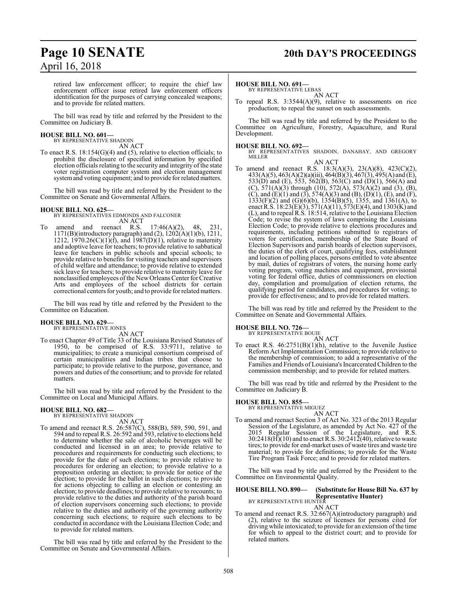## **Page 10 SENATE 20th DAY'S PROCEEDINGS**

retired law enforcement officer; to require the chief law enforcement officer issue retired law enforcement officers identification for the purposes of carrying concealed weapons; and to provide for related matters.

The bill was read by title and referred by the President to the Committee on Judiciary B.

## **HOUSE BILL NO. 601—** BY REPRESENTATIVE SHADOIN

AN ACT

To enact R.S. 18:154(G)(4) and (5), relative to election officials; to prohibit the disclosure of specified information by specified election officials relating to the security and integrity of the state voter registration computer system and election management system and voting equipment; and to provide for related matters.

The bill was read by title and referred by the President to the Committee on Senate and Governmental Affairs.

**HOUSE BILL NO. 625—** BY REPRESENTATIVES EDMONDS AND FALCONER AN ACT

To amend and reenact R.S. 17:46(A)(2), 48, 231, 1171(B)(introductory paragraph) and (2), 1202(A)(1)(b), 1211, 1212, 1970.26(C)(1)(f), and 1987(D)(1), relative to maternity and adoptive leave for teachers; to provide relative to sabbatical leave for teachers in public schools and special schools; to provide relative to benefits for visiting teachers and supervisors of child welfare and attendance; to provide relative to extended sick leave for teachers; to provide relative to maternity leave for nonclassified employees ofthe NewOrleansCenter for Creative Arts and employees of the school districts for certain correctional centers for youth; and to provide for related matters.

The bill was read by title and referred by the President to the Committee on Education.

#### **HOUSE BILL NO. 629—** BY REPRESENTATIVE JONES

AN ACT

To enact Chapter 49 of Title 33 of the Louisiana Revised Statutes of 1950, to be comprised of R.S. 33:9711, relative to municipalities; to create a municipal consortium comprised of certain municipalities and Indian tribes that choose to participate; to provide relative to the purpose, governance, and powers and duties of the consortium; and to provide for related matters.

The bill was read by title and referred by the President to the Committee on Local and Municipal Affairs.

#### **HOUSE BILL NO. 682—** BY REPRESENTATIVE SHADOIN

AN ACT

To amend and reenact R.S. 26:587(C), 588(B), 589, 590, 591, and 594 and to repeal R.S. 26:592 and 593, relative to elections held to determine whether the sale of alcoholic beverages will be conducted and licensed in an area; to provide relative to procedures and requirements for conducting such elections; to provide for the date of such elections; to provide relative to procedures for ordering an election; to provide relative to a proposition ordering an election; to provide for notice of the election; to provide for the ballot in such elections; to provide for actions objecting to calling an election or contesting an election; to provide deadlines; to provide relative to recounts; to provide relative to the duties and authority of the parish board of election supervisors concerning such elections; to provide relative to the duties and authority of the governing authority concerning such elections; to require such elections to be conducted in accordance with the Louisiana Election Code; and to provide for related matters.

The bill was read by title and referred by the President to the Committee on Senate and Governmental Affairs.

#### **HOUSE BILL NO. 691—**

BY REPRESENTATIVE LEBAS

AN ACT

To repeal R.S. 3:3544(A)(9), relative to assessments on rice production; to repeal the sunset on such assessments.

The bill was read by title and referred by the President to the Committee on Agriculture, Forestry, Aquaculture, and Rural Development.

#### **HOUSE BILL NO. 692—**

BY REPRESENTATIVES SHADOIN, DANAHAY, AND GREGORY MILLER

AN ACT

To amend and reenact R.S. 18:3(A)(3), 23(A)(8), 423(C)(2), 433(A)(5), 463(A)(2)(a)(iii), 464(B)(3), 467(3), 495(A) and (E), 533(D) and (E), 553, 562(B), 563(C) and (D)(1), 566(A) and (C),  $571(A)(3)$  through (10),  $572(A)$ ,  $573(A)(2)$  and (3), (B), (C), and (E)(1) and (3),  $574(A)(3)$  and (B), (D)(1), (E), and (F),  $1333(F)(2)$  and  $(G)(6)(b)$ ,  $1354(B)(5)$ ,  $1355$ , and  $1361(A)$ , to enact R.S.  $18:23(E)(3)$ ,  $571(A)(11)$ ,  $573(E)(4)$ , and  $1303(K)$  and (L), and to repeal R.S. 18:514, relative to the Louisiana Election Code; to revise the system of laws comprising the Louisiana Election Code; to provide relative to elections procedures and requirements, including petitions submitted to registrars of voters for certification, membership of the State Board of Election Supervisors and parish boards of election supervisors, the duties of the clerk of court, qualifying fees, establishment and location of polling places, persons entitled to vote absentee by mail, duties of registrars of voters, the nursing home early voting program, voting machines and equipment, provisional voting for federal office, duties of commissioners on election day, compilation and promulgation of election returns, the qualifying period for candidates, and procedures for voting; to provide for effectiveness; and to provide for related matters.

The bill was read by title and referred by the President to the Committee on Senate and Governmental Affairs.

## **HOUSE BILL NO. 726—** BY REPRESENTATIVE BOUIE

AN ACT

To enact R.S. 46:2751(B)(1)(h), relative to the Juvenile Justice Reform Act Implementation Commission; to provide relative to the membership of commission; to add a representative of the Families and Friends of Louisiana's IncarceratedChildren to the commission membership; and to provide for related matters.

The bill was read by title and referred by the President to the Committee on Judiciary B.

#### **HOUSE BILL NO. 855—**

BY REPRESENTATIVE MIGUEZ AN ACT

To amend and reenact Section 3 of Act No. 323 of the 2013 Regular Session of the Legislature, as amended by Act No. 427 of the 2015 Regular Session of the Legislature, and R.S.  $30:2418$ (H $)(10)$  and to enact R.S.  $30:2412(40)$ , relative to waste tires; to provide for end-market uses of waste tires and waste tire material; to provide for definitions; to provide for the Waste Tire Program Task Force; and to provide for related matters.

The bill was read by title and referred by the President to the Committee on Environmental Quality.

#### **HOUSE BILL NO. 890— (Substitute for House Bill No. 637 by Representative Hunter)** BY REPRESENTATIVE HUNTER

AN ACT

To amend and reenact R.S. 32:667(A)(introductory paragraph) and (2), relative to the seizure of licenses for persons cited for driving while intoxicated; to provide for an extension of the time for which to appeal to the district court; and to provide for related matters.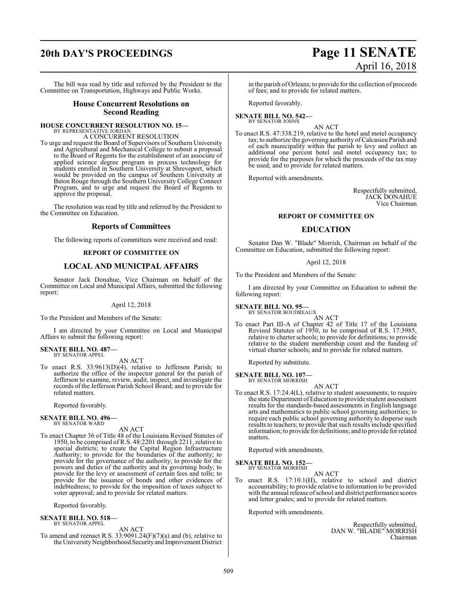# **20th DAY'S PROCEEDINGS Page 11 SENATE**

The bill was read by title and referred by the President to the Committee on Transportation, Highways and Public Works.

#### **House Concurrent Resolutions on Second Reading**

#### **HOUSE CONCURRENT RESOLUTION NO. 15—**

BY REPRESENTATIVE JORDAN A CONCURRENT RESOLUTION

To urge and request the Board of Supervisors of Southern University and Agricultural and Mechanical College to submit a proposal to the Board of Regents for the establishment of an associate of applied science degree program in process technology for students enrolled in Southern University at Shreveport, which would be provided on the campus of Southern University at Baton Rouge through the Southern University College Connect Program, and to urge and request the Board of Regents to approve the proposal.

The resolution was read by title and referred by the President to the Committee on Education.

#### **Reports of Committees**

The following reports of committees were received and read:

#### **REPORT OF COMMITTEE ON**

#### **LOCAL AND MUNICIPAL AFFAIRS**

Senator Jack Donahue, Vice Chairman on behalf of the Committee on Local and Municipal Affairs, submitted the following report:

#### April 12, 2018

To the President and Members of the Senate:

I am directed by your Committee on Local and Municipal Affairs to submit the following report:

#### **SENATE BILL NO. 487—** BY SENATOR APPEL

AN ACT

To enact R.S. 33:9613(D)(4), relative to Jefferson Parish; to authorize the office of the inspector general for the parish of Jefferson to examine, review, audit, inspect, and investigate the records of the Jefferson Parish School Board; and to provide for related matters.

Reported favorably.

## **SENATE BILL NO. 496—** BY SENATOR WARD

AN ACT

To enact Chapter 36 of Title 48 of the Louisiana Revised Statutes of 1950, to be comprised of R.S. 48:2201 through 2211, relative to special districts; to create the Capital Region Infrastructure Authority; to provide for the boundaries of the authority; to provide for the governance of the authority; to provide for the powers and duties of the authority and its governing body; to provide for the levy or assessment of certain fees and tolls; to provide for the issuance of bonds and other evidences of indebtedness; to provide for the imposition of taxes subject to voter approval; and to provide for related matters.

Reported favorably.

#### **SENATE BILL NO. 518—** BY SENATOR APPEL

AN ACT

To amend and reenact R.S. 33:9091.24(F)(7)(a) and (b), relative to the University Neighborhood Security and Improvement District

in the parish of Orleans; to provide for the collection of proceeds of fees; and to provide for related matters.

Reported favorably.

#### **SENATE BILL NO. 542—** BY SENATOR JOHNS

AN ACT

To enact R.S. 47:338.219, relative to the hotel and motel occupancy tax; to authorize the governing authority ofCalcasieu Parish and of each municipality within the parish to levy and collect an additional one percent hotel and motel occupancy tax; to provide for the purposes for which the proceeds of the tax may be used; and to provide for related matters.

Reported with amendments.

Respectfully submitted, JACK DONAHUE Vice Chairman

#### **REPORT OF COMMITTEE ON**

#### **EDUCATION**

Senator Dan W. "Blade" Morrish, Chairman on behalf of the Committee on Education, submitted the following report:

#### April 12, 2018

To the President and Members of the Senate:

I am directed by your Committee on Education to submit the following report:

**SENATE BILL NO. 95—**

BY SENATOR BOUDREAUX AN ACT

To enact Part III-A of Chapter 42 of Title 17 of the Louisiana Revised Statutes of 1950, to be comprised of R.S. 17:3985, relative to charter schools; to provide for definitions; to provide relative to the student membership count and the funding of virtual charter schools; and to provide for related matters.

Reported by substitute.

#### **SENATE BILL NO. 107—**

BY SENATOR MORRISH

AN ACT To enact R.S. 17:24.4(L), relative to student assessments; to require the state Department ofEducation to provide student assessment results for the standards-based assessments in English language arts and mathematics to public school governing authorities; to require each public school governing authority to disperse such results to teachers; to provide that such results include specified information; to provide for definitions; and to provide for related matters.

Reported with amendments.

#### **SENATE BILL NO. 152—**

BY SENATOR MORRISH AN ACT

To enact R.S. 17:10.1(H), relative to school and district accountability; to provide relative to information to be provided with the annual release ofschool and district performance scores and letter grades; and to provide for related matters.

Reported with amendments.

Respectfully submitted, DAN W. "BLADE" MORRISH Chairman

# April 16, 2018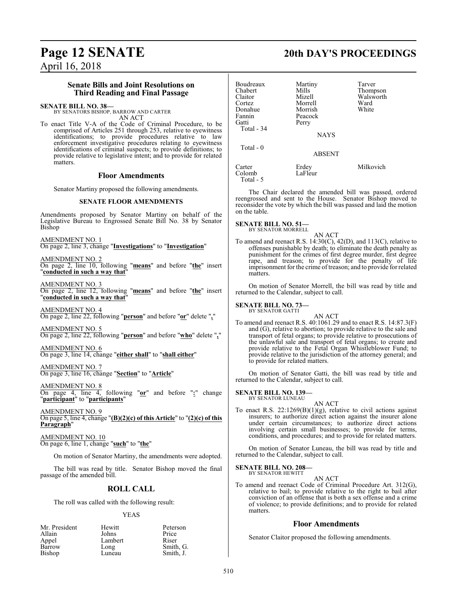## **Page 12 SENATE 20th DAY'S PROCEEDINGS** April 16, 2018

### **Senate Bills and Joint Resolutions on Third Reading and Final Passage**

**SENATE BILL NO. 38—** BY SENATORS BISHOP, BARROW AND CARTER AN ACT

To enact Title V-A of the Code of Criminal Procedure, to be comprised of Articles 251 through 253, relative to eyewitness identifications; to provide procedures relative to law enforcement investigative procedures relating to eyewitness identifications of criminal suspects; to provide definitions; to provide relative to legislative intent; and to provide for related matters.

#### **Floor Amendments**

Senator Martiny proposed the following amendments.

#### **SENATE FLOOR AMENDMENTS**

Amendments proposed by Senator Martiny on behalf of the Legislative Bureau to Engrossed Senate Bill No. 38 by Senator Bishop

AMENDMENT NO. 1 On page 2, line 3, change "**Investigations**" to "**Investigation**"

AMENDMENT NO. 2 On page 2, line 10, following "**means**" and before "**the**" insert "**conducted in such a way that**"

AMENDMENT NO. 3 On page 2, line 12, following "**means**" and before "**the**" insert "**conducted in such a way that**"

AMENDMENT NO. 4 On page 2, line 22, following "**person**" and before "**or**" delete "**,**"

AMENDMENT NO. 5 On page 2, line 22, following "**person**" and before "**who**" delete "**,**"

AMENDMENT NO. 6 On page 3, line 14, change "**either shall**" to "**shall either**"

AMENDMENT NO. 7 On page 3, line 16, change "**Section**" to "**Article**"

AMENDMENT NO. 8 On page 4, line 4, following "**or**" and before "**:**" change "**participant**" to "**participants**"

AMENDMENT NO. 9 On page 5, line 4, change "**(B)(2)(c) of this Article**" to "**(2)(c) of this Paragraph**"

AMENDMENT NO. 10 On page 6, line 1, change "**such**" to "**the**"

On motion of Senator Martiny, the amendments were adopted.

The bill was read by title. Senator Bishop moved the final passage of the amended bill.

### **ROLL CALL**

The roll was called with the following result:

#### YEAS

| Mr. President | Hewitt  | Peterson  |
|---------------|---------|-----------|
| Allain        | Johns   | Price     |
| Appel         | Lambert | Riser     |
| Barrow        | Long    | Smith, G. |
| Bishop        | Luneau  | Smith, J. |

| Boudreaux  | Martiny       | Tarver    |
|------------|---------------|-----------|
| Chabert    | Mills         | Thompson  |
| Claitor    | Mizell        | Walsworth |
| Cortez     | Morrell       | Ward      |
| Donahue    | Morrish       | White     |
| Fannin     | Peacock       |           |
| Gatti      | Perry         |           |
| Total - 34 |               |           |
|            | <b>NAYS</b>   |           |
| Total - 0  |               |           |
|            | <b>ABSENT</b> |           |
| Carter     | Erdey         | Milkovich |
| Colomb     | LaFleur       |           |
| Total - 5  |               |           |

The Chair declared the amended bill was passed, ordered reengrossed and sent to the House. Senator Bishop moved to reconsider the vote by which the bill was passed and laid the motion on the table.

**SENATE BILL NO. 51—** BY SENATOR MORRELL

AN ACT

To amend and reenact R.S. 14:30(C), 42(D), and 113(C), relative to offenses punishable by death; to eliminate the death penalty as punishment for the crimes of first degree murder, first degree rape, and treason; to provide for the penalty of life imprisonment for the crime of treason; and to provide for related matters.

On motion of Senator Morrell, the bill was read by title and returned to the Calendar, subject to call.

#### **SENATE BILL NO. 73—** BY SENATOR GATTI

AN ACT To amend and reenact R.S. 40:1061.29 and to enact R.S. 14:87.3(F) and (G), relative to abortion; to provide relative to the sale and transport of fetal organs; to provide relative to prosecutions of the unlawful sale and transport of fetal organs; to create and provide relative to the Fetal Organ Whistleblower Fund; to provide relative to the jurisdiction of the attorney general; and to provide for related matters.

On motion of Senator Gatti, the bill was read by title and returned to the Calendar, subject to call.

#### **SENATE BILL NO. 139—** BY SENATOR LUNEAU

AN ACT

To enact R.S. 22:1269(B)(1)(g), relative to civil actions against insurers; to authorize direct action against the insurer alone under certain circumstances; to authorize direct actions involving certain small businesses; to provide for terms, conditions, and procedures; and to provide for related matters.

On motion of Senator Luneau, the bill was read by title and returned to the Calendar, subject to call.

## **SENATE BILL NO. 208—** BY SENATOR HEWITT

AN ACT

To amend and reenact Code of Criminal Procedure Art. 312(G), relative to bail; to provide relative to the right to bail after conviction of an offense that is both a sex offense and a crime of violence; to provide definitions; and to provide for related matters.

#### **Floor Amendments**

Senator Claitor proposed the following amendments.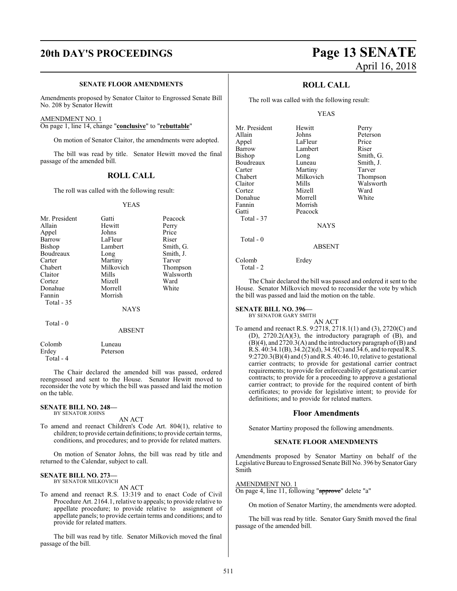#### **SENATE FLOOR AMENDMENTS**

Amendments proposed by Senator Claitor to Engrossed Senate Bill No. 208 by Senator Hewitt

#### AMENDMENT NO. 1

On page 1, line 14, change "**conclusive**" to "**rebuttable**"

On motion of Senator Claitor, the amendments were adopted.

The bill was read by title. Senator Hewitt moved the final passage of the amended bill.

#### **ROLL CALL**

The roll was called with the following result:

#### YEAS

| Mr. President | Gatti       | Peacock   |
|---------------|-------------|-----------|
|               |             |           |
| Allain        | Hewitt      | Perry     |
| Appel         | Johns       | Price     |
| Barrow        | LaFleur     | Riser     |
| <b>Bishop</b> | Lambert     | Smith, G. |
| Boudreaux     | Long        | Smith, J. |
| Carter        | Martiny     | Tarver    |
| Chabert       | Milkovich   | Thompson  |
| Claitor       | Mills       | Walsworth |
| Cortez        | Mizell      | Ward      |
| Donahue       | Morrell     | White     |
| Fannin        | Morrish     |           |
| Total $-35$   |             |           |
|               | <b>NAYS</b> |           |
| Total - 0     |             |           |

#### ABSENT

Colomb Luneau<br>Erdey Peterson Peterson Total - 4

The Chair declared the amended bill was passed, ordered reengrossed and sent to the House. Senator Hewitt moved to reconsider the vote by which the bill was passed and laid the motion on the table.

#### **SENATE BILL NO. 248—** BY SENATOR JOHNS

AN ACT

To amend and reenact Children's Code Art. 804(1), relative to children; to provide certain definitions; to provide certain terms, conditions, and procedures; and to provide for related matters.

On motion of Senator Johns, the bill was read by title and returned to the Calendar, subject to call.

#### **SENATE BILL NO. 273—**

BY SENATOR MILKOVICH AN ACT

To amend and reenact R.S. 13:319 and to enact Code of Civil Procedure Art. 2164.1, relative to appeals; to provide relative to appellate procedure; to provide relative to assignment of appellate panels; to provide certain terms and conditions; and to provide for related matters.

The bill was read by title. Senator Milkovich moved the final passage of the bill.

## **20th DAY'S PROCEEDINGS Page 13 SENATE** April 16, 2018

#### **ROLL CALL**

The roll was called with the following result:

#### YEAS

| Mr. President | Hewitt      | Perry     |
|---------------|-------------|-----------|
| Allain        | Johns       | Peterson  |
| Appel         | LaFleur     | Price     |
| Barrow        | Lambert     | Riser     |
| <b>Bishop</b> | Long        | Smith, G. |
| Boudreaux     | Luneau      | Smith, J. |
| Carter        | Martiny     | Tarver    |
| Chabert       | Milkovich   | Thompson  |
| Claitor       | Mills       | Walsworth |
| Cortez        | Mizell      | Ward      |
| Donahue       | Morrell     | White     |
| Fannin        | Morrish     |           |
| Gatti         | Peacock     |           |
| Total - 37    |             |           |
|               | <b>NAYS</b> |           |
| Total $-0$    |             |           |
|               | ABSENT      |           |
| Colomb        | Erdev       |           |

Total - 2

The Chair declared the bill was passed and ordered it sent to the House. Senator Milkovich moved to reconsider the vote by which the bill was passed and laid the motion on the table.

#### **SENATE BILL NO. 396—**

BY SENATOR GARY SMITH

AN ACT To amend and reenact R.S. 9:2718, 2718.1(1) and (3), 2720(C) and (D), 2720.2(A)(3), the introductory paragraph of (B), and (B)(4), and 2720.3(A) and the introductory paragraph of(B) and R.S. 40:34.1(B), 34.2(2)(d), 34.5(C) and 34.6, and to repeal R.S.  $9:2720.3(B)(4)$  and  $(5)$  and R.S.  $40:46.10$ , relative to gestational carrier contracts; to provide for gestational carrier contract requirements; to provide for enforceability of gestational carrier contracts; to provide for a proceeding to approve a gestational carrier contract; to provide for the required content of birth certificates; to provide for legislative intent; to provide for definitions; and to provide for related matters.

#### **Floor Amendments**

Senator Martiny proposed the following amendments.

#### **SENATE FLOOR AMENDMENTS**

Amendments proposed by Senator Martiny on behalf of the Legislative Bureau to Engrossed Senate Bill No. 396 by Senator Gary Smith

#### AMENDMENT NO. 1

On page 4, line 11, following "approve" delete "a"

On motion of Senator Martiny, the amendments were adopted.

The bill was read by title. Senator Gary Smith moved the final passage of the amended bill.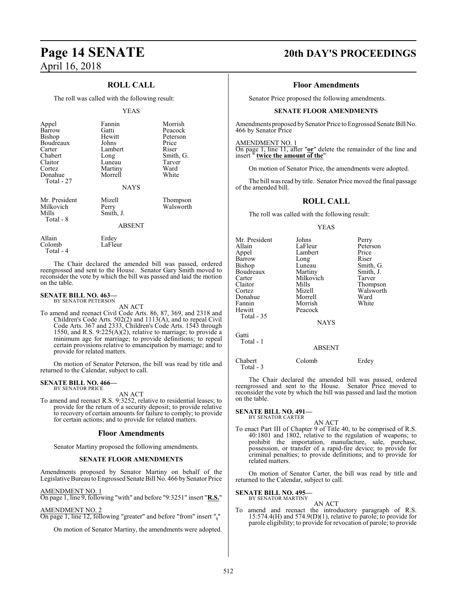### **ROLL CALL**

The roll was called with the following result:

#### YEAS

| Appel                 | Fannin           | Morrish   |
|-----------------------|------------------|-----------|
| Barrow                | Gatti            | Peacock   |
| <b>Bishop</b>         | Hewitt           | Peterson  |
| Boudreaux             | Johns            | Price     |
| Carter                | Lambert          | Riser     |
| Chabert               | Long             | Smith, G. |
| Claitor               | Luneau           | Tarver    |
| Cortez                | Martiny          | Ward      |
| Donahue<br>Total - 27 | Morrell          | White     |
|                       | <b>NAYS</b>      |           |
| Mr. President         | Mizell           | Thompson  |
| Milkovich             | Perry            | Walsworth |
| Mills                 | Smith, J.        |           |
| Total - 8             | <b>ABSENT</b>    |           |
|                       |                  |           |
| Allain<br>Colomb      | Erdey<br>LaFleur |           |

The Chair declared the amended bill was passed, ordered reengrossed and sent to the House. Senator Gary Smith moved to reconsider the vote by which the bill was passed and laid the motion on the table.

#### **SENATE BILL NO. 463—** BY SENATOR PETERSON

Total - 4

AN ACT

To amend and reenact Civil Code Arts. 86, 87, 369, and 2318 and Children's Code Arts. 502(2) and 1113(A), and to repeal Civil Code Arts. 367 and 2333, Children's Code Arts. 1543 through 1550, and R.S. 9:225(A)(2), relative to marriage; to provide a minimum age for marriage; to provide definitions; to repeal certain provisions relative to emancipation by marriage; and to provide for related matters.

On motion of Senator Peterson, the bill was read by title and returned to the Calendar, subject to call.

#### **SENATE BILL NO. 466—**

BY SENATOR PRICE

AN ACT To amend and reenact R.S. 9:3252, relative to residential leases; to provide for the return of a security deposit; to provide relative to recovery of certain amounts for failure to comply; to provide for certain actions; and to provide for related matters.

#### **Floor Amendments**

Senator Martiny proposed the following amendments.

#### **SENATE FLOOR AMENDMENTS**

Amendments proposed by Senator Martiny on behalf of the Legislative Bureau to Engrossed Senate Bill No. 466 by Senator Price

#### AMENDMENT NO. 1

On page 1, line 9, following "with" and before "9:3251" insert "**R.S.**"

#### AMENDMENT NO. 2

On page 1, line 12, following "greater" and before "from" insert "**,**"

On motion of Senator Martiny, the amendments were adopted.

## **Page 14 SENATE 20th DAY'S PROCEEDINGS**

#### **Floor Amendments**

Senator Price proposed the following amendments.

#### **SENATE FLOOR AMENDMENTS**

Amendments proposed by Senator Price to Engrossed Senate Bill No. 466 by Senator Price

AMENDMENT NO. 1

On page 1, line 11, after "**or**" delete the remainder of the line and insert " **twice the amount of the**"

On motion of Senator Price, the amendments were adopted.

The bill was read by title. Senator Price moved the final passage of the amended bill.

#### **ROLL CALL**

The roll was called with the following result:

#### YEAS

| Mr. President<br>Allain<br>Appel<br>Barrow<br>Bishop<br>Boudreaux<br>Carter<br>Claitor<br>Cortez<br>Donahue<br>Fannin<br>Hewitt | Johns<br>LaFleur<br>Lambert<br>Long<br>Luneau<br>Martiny<br>Milkovich<br>Mills<br>Mizell<br>Morrell<br>Morrish<br>Peacock | Perry<br>Peterson<br>Price<br>Riser<br>Smith, G.<br>Smith, J.<br>Tarver<br>Thompson<br>Walsworth<br>Ward<br>White |
|---------------------------------------------------------------------------------------------------------------------------------|---------------------------------------------------------------------------------------------------------------------------|-------------------------------------------------------------------------------------------------------------------|
| Total - 35                                                                                                                      | <b>NAYS</b>                                                                                                               |                                                                                                                   |
| Gatti<br>Total - 1                                                                                                              | <b>ABSENT</b>                                                                                                             |                                                                                                                   |
| Chabert                                                                                                                         | Colomb                                                                                                                    | Erdey                                                                                                             |

Total - 3

The Chair declared the amended bill was passed, ordered reengrossed and sent to the House. Senator Price moved to reconsider the vote by which the bill was passed and laid the motion on the table.

#### **SENATE BILL NO. 491—** BY SENATOR CARTER

#### AN ACT

To enact Part III of Chapter 9 of Title 40, to be comprised of R.S. 40:1801 and 1802, relative to the regulation of weapons; to prohibit the importation, manufacture, sale, purchase, possession, or transfer of a rapid-fire device; to provide for criminal penalties; to provide definitions; and to provide for related matters.

On motion of Senator Carter, the bill was read by title and returned to the Calendar, subject to call.

#### **SENATE BILL NO. 495—**

BY SENATOR MARTINY AN ACT

To amend and reenact the introductory paragraph of R.S. 15:574.4(H) and 574.9(D)(1), relative to parole; to provide for parole eligibility; to provide for revocation of parole; to provide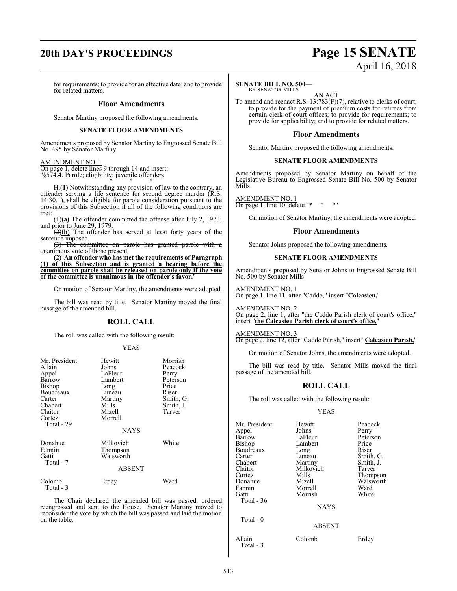## **20th DAY'S PROCEEDINGS Page 15 SENATE**

# April 16, 2018

for requirements; to provide for an effective date; and to provide for related matters.

#### **Floor Amendments**

Senator Martiny proposed the following amendments.

#### **SENATE FLOOR AMENDMENTS**

Amendments proposed by Senator Martiny to Engrossed Senate Bill No. 495 by Senator Martiny

#### AMENDMENT NO. 1

On page 1, delete lines 9 through 14 and insert: "§574.4. Parole; eligibility; juvenile offenders

\* \* \* H.**(1)** Notwithstanding any provision of law to the contrary, an offender serving a life sentence for second degree murder (R.S. 14:30.1), shall be eligible for parole consideration pursuant to the provisions of this Subsection if all of the following conditions are met:

(1)**(a)** The offender committed the offense after July 2, 1973, and prior to June 29, 1979.

(2)**(b)** The offender has served at least forty years of the sentence imposed.

(3) The committee on parole has granted parole with a unanimous vote of those present.

**(2) An offender who has met the requirements of Paragraph (1) of this Subsection and is granted a hearing before the committee on parole shall be released on parole only if the vote of the committee is unanimous in the offender's favor.**"

On motion of Senator Martiny, the amendments were adopted.

The bill was read by title. Senator Martiny moved the final passage of the amended bill.

#### **ROLL CALL**

The roll was called with the following result:

#### YEAS

| Mr. President<br>Allain<br>Appel<br>Barrow<br>Bishop<br>Boudreaux<br>Carter<br>Chabert<br>Claitor<br>Cortez<br>Total - 29 | Hewitt<br>Johns<br>LaFleur<br>Lambert<br>Long<br>Luneau<br>Martiny<br>Mills<br>Mizell<br>Morrell<br><b>NAYS</b> | Morrish<br>Peacock<br>Perry<br>Peterson<br>Price<br>Riser<br>Smith, G.<br>Smith, J.<br>Tarver |
|---------------------------------------------------------------------------------------------------------------------------|-----------------------------------------------------------------------------------------------------------------|-----------------------------------------------------------------------------------------------|
| Donahue<br>Fannin<br>Gatti<br>Total - 7                                                                                   | Milkovich<br>Thompson<br>Walsworth<br>ABSENT                                                                    | White                                                                                         |
| Colomb<br>Total - 3                                                                                                       | Erdey                                                                                                           | Ward                                                                                          |

The Chair declared the amended bill was passed, ordered reengrossed and sent to the House. Senator Martiny moved to reconsider the vote by which the bill was passed and laid the motion on the table.

#### **SENATE BILL NO. 500—**

BY SENATOR MILLS AN ACT

To amend and reenact R.S. 13:783(F)(7), relative to clerks of court; to provide for the payment of premium costs for retirees from certain clerk of court offices; to provide for requirements; to provide for applicability; and to provide for related matters.

#### **Floor Amendments**

Senator Martiny proposed the following amendments.

#### **SENATE FLOOR AMENDMENTS**

Amendments proposed by Senator Martiny on behalf of the Legislative Bureau to Engrossed Senate Bill No. 500 by Senator Mills

AMENDMENT NO. 1 On page 1, line 10, delete "\* \* \* "

On motion of Senator Martiny, the amendments were adopted.

#### **Floor Amendments**

Senator Johns proposed the following amendments.

#### **SENATE FLOOR AMENDMENTS**

Amendments proposed by Senator Johns to Engrossed Senate Bill No. 500 by Senator Mills

AMENDMENT NO. 1 On page 1, line 11, after "Caddo," insert "**Calcasieu,**"

AMENDMENT NO. 2 On page 2, line 1, after "the Caddo Parish clerk of court's office," insert "**the Calcasieu Parish clerk of court's office,**"

#### AMENDMENT NO. 3

On page 2, line 12, after "Caddo Parish," insert "**Calcasieu Parish,**"

On motion of Senator Johns, the amendments were adopted.

The bill was read by title. Senator Mills moved the final passage of the amended bill.

#### **ROLL CALL**

The roll was called with the following result:

#### YEAS

| Mr. President<br>Appel<br>Barrow<br>Bishop<br>Boudreaux<br>Carter<br>Chabert<br>Claitor<br>Cortez<br>Donahue<br>Fannin | Hewitt<br>Johns<br>LaFleur<br>Lambert<br>Long<br>Luneau<br>Martiny<br>Milkovich<br>Mills<br>Mizell<br>Morrell | Peacock<br>Perry<br>Peterson<br>Price<br>Riser<br>Smith, G.<br>Smith, J.<br>Tarver<br>Thompson<br>Walsworth<br>Ward |
|------------------------------------------------------------------------------------------------------------------------|---------------------------------------------------------------------------------------------------------------|---------------------------------------------------------------------------------------------------------------------|
| Gatti<br>Total - 36<br>Total - 0                                                                                       | Morrish<br><b>NAYS</b>                                                                                        | White                                                                                                               |
| Allain                                                                                                                 | <b>ABSENT</b><br>Colomb                                                                                       | Erdey                                                                                                               |

Total - 3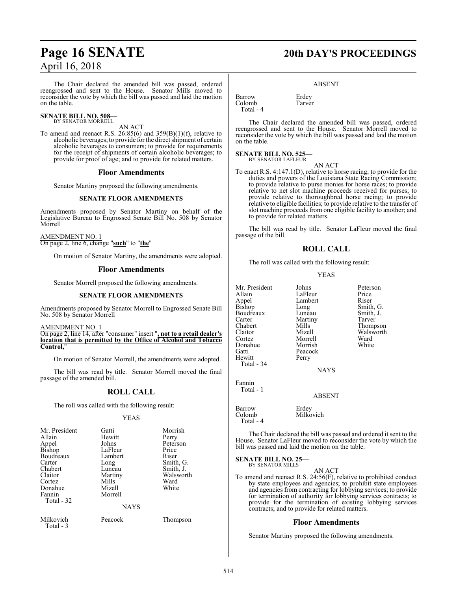The Chair declared the amended bill was passed, ordered reengrossed and sent to the House. Senator Mills moved to reconsider the vote by which the bill was passed and laid the motion on the table.

#### **SENATE BILL NO. 508—** BY SENATOR MORRELL

### AN ACT

To amend and reenact R.S.  $26:85(6)$  and  $359(B)(1)(f)$ , relative to alcoholic beverages; to provide for the direct shipment of certain alcoholic beverages to consumers; to provide for requirements for the receipt of shipments of certain alcoholic beverages; to provide for proof of age; and to provide for related matters.

#### **Floor Amendments**

Senator Martiny proposed the following amendments.

#### **SENATE FLOOR AMENDMENTS**

Amendments proposed by Senator Martiny on behalf of the Legislative Bureau to Engrossed Senate Bill No. 508 by Senator Morrell

AMENDMENT NO. 1

On page 2, line 6, change "**such**" to "**the**"

On motion of Senator Martiny, the amendments were adopted.

#### **Floor Amendments**

Senator Morrell proposed the following amendments.

#### **SENATE FLOOR AMENDMENTS**

Amendments proposed by Senator Morrell to Engrossed Senate Bill No. 508 by Senator Morrell

AMENDMENT NO. 1

On page 2, line 14, after "consumer" insert "**, not to a retail dealer's location that is permitted by the Office of Alcohol and Tobacco Control,**"

On motion of Senator Morrell, the amendments were adopted.

The bill was read by title. Senator Morrell moved the final passage of the amended bill.

#### **ROLL CALL**

The roll was called with the following result:

#### YEAS

| Mr. President<br>Allain<br>Appel<br><b>Bishop</b><br>Boudreaux<br>Carter<br>Chabert<br>Claitor<br>Cortez<br>Donahue<br>Fannin<br>Total - 32 | Gatti<br>Hewitt<br>Johns<br>LaFleur<br>Lambert<br>Long<br>Luneau<br>Martiny<br>Mills<br>Mizell<br>Morrell | Morrish<br>Perry<br>Peterson<br>Price<br>Riser<br>Smith, G.<br>Smith, J.<br>Walsworth<br>Ward<br>White |
|---------------------------------------------------------------------------------------------------------------------------------------------|-----------------------------------------------------------------------------------------------------------|--------------------------------------------------------------------------------------------------------|
|                                                                                                                                             | <b>NAYS</b>                                                                                               |                                                                                                        |
| Milkovich<br>Total - 3                                                                                                                      | Peacock                                                                                                   | Thompson                                                                                               |

## **Page 16 SENATE 20th DAY'S PROCEEDINGS**

#### ABSENT

Barrow Erdey<br>Colomb Tarver Colomb Total - 4

The Chair declared the amended bill was passed, ordered reengrossed and sent to the House. Senator Morrell moved to reconsider the vote by which the bill was passed and laid the motion on the table.

## **SENATE BILL NO. 525—** BY SENATOR LAFLEUR

AN ACT To enact R.S. 4:147.1(D), relative to horse racing; to provide for the duties and powers of the Louisiana State Racing Commission; to provide relative to purse monies for horse races; to provide relative to net slot machine proceeds received for purses; to provide relative to thoroughbred horse racing; to provide relative to eligible facilities; to provide relative to the transfer of slot machine proceeds from one eligible facility to another; and to provide for related matters.

The bill was read by title. Senator LaFleur moved the final passage of the bill.

#### **ROLL CALL**

The roll was called with the following result:

#### YEAS

Mr. President Johns Peterson<br>Allain LaFleur Price Allain LaFleur Price<br>
Appel Lambert Riser Appel Lambert<br>Bishop Long Long Smith, G.<br>
Luneau Smith, J. Boudreaux Luneau Smith,<br>Carter Martiny Tarver Carter Martiny<br>
Chabert Mills Chabert Mills Thompson<br>Claitor Mizell Walsworth Claitor Mizell Walsworth Morrell Ward<br>
Morrish White Donahue<br>Gatti Gatti Peacock<br>
Hewitt Perry Perry Total - 34 NAYS Fannin

ABSENT

Milkovich

Barrow Erdey<br>Colomb Milko Total - 4

Total - 1

The Chair declared the bill was passed and ordered it sent to the House. Senator LaFleur moved to reconsider the vote by which the bill was passed and laid the motion on the table.

**SENATE BILL NO. 25—** BY SENATOR MILLS

AN ACT

To amend and reenact R.S. 24:56(F), relative to prohibited conduct by state employees and agencies; to prohibit state employees and agencies from contracting for lobbying services; to provide for termination of authority for lobbying services contracts; to provide for the termination of existing lobbying services contracts; and to provide for related matters.

#### **Floor Amendments**

Senator Martiny proposed the following amendments.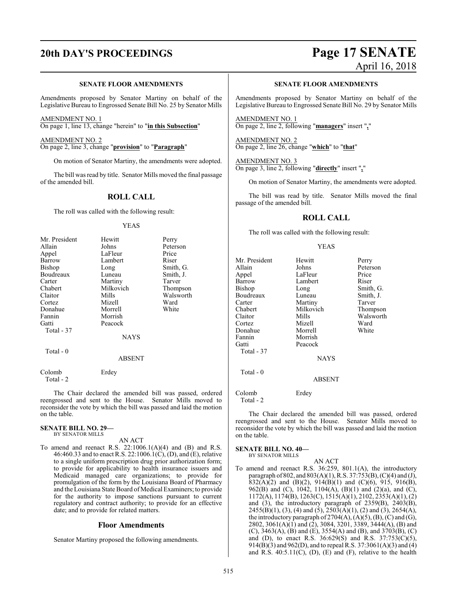#### **SENATE FLOOR AMENDMENTS**

Amendments proposed by Senator Martiny on behalf of the Legislative Bureau to Engrossed Senate Bill No. 25 by Senator Mills

AMENDMENT NO. 1 On page 1, line 13, change "herein" to "**in this Subsection**"

AMENDMENT NO. 2 On page 2, line 3, change "**provision**" to "**Paragraph**"

On motion of Senator Martiny, the amendments were adopted.

The bill was read by title. Senator Mills moved the final passage of the amended bill.

### **ROLL CALL**

The roll was called with the following result:

#### YEAS

| Mr. President       | Hewitt      | Perry     |
|---------------------|-------------|-----------|
| Allain              | Johns       | Peterson  |
| Appel               | LaFleur     | Price     |
| Barrow              | Lambert     | Riser     |
| <b>Bishop</b>       | Long        | Smith, G. |
| Boudreaux           | Luneau      | Smith, J. |
| Carter              | Martiny     | Tarver    |
| Chabert             | Milkovich   | Thompson  |
| Claitor             | Mills       | Walsworth |
| Cortez              | Mizell      | Ward      |
| Donahue             | Morrell     | White     |
| Fannin              | Morrish     |           |
| Gatti               | Peacock     |           |
| Total - 37          |             |           |
|                     | <b>NAYS</b> |           |
| Total - 0           |             |           |
|                     | ABSENT      |           |
| Colomb<br>Total - 2 | Erdey       |           |

The Chair declared the amended bill was passed, ordered reengrossed and sent to the House. Senator Mills moved to reconsider the vote by which the bill was passed and laid the motion on the table.

#### **SENATE BILL NO. 29—** BY SENATOR MILLS

AN ACT

To amend and reenact R.S.  $22:1006.1(A)(4)$  and (B) and R.S. 46:460.33 and to enact R.S. 22:1006.1(C), (D), and (E), relative to a single uniform prescription drug prior authorization form; to provide for applicability to health insurance issuers and Medicaid managed care organizations; to provide for promulgation of the form by the Louisiana Board of Pharmacy and the Louisiana State Board of Medical Examiners; to provide for the authority to impose sanctions pursuant to current regulatory and contract authority; to provide for an effective date; and to provide for related matters.

#### **Floor Amendments**

Senator Martiny proposed the following amendments.

## **20th DAY'S PROCEEDINGS Page 17 SENATE** April 16, 2018

#### **SENATE FLOOR AMENDMENTS**

Amendments proposed by Senator Martiny on behalf of the Legislative Bureau to Engrossed Senate Bill No. 29 by Senator Mills

AMENDMENT NO. 1 On page 2, line 2, following "**managers**" insert "**,**"

AMENDMENT NO. 2 On page 2, line 26, change "**which**" to "**that**"

#### AMENDMENT NO. 3 On page 3, line 2, following "**directly**" insert "**,**"

On motion of Senator Martiny, the amendments were adopted.

The bill was read by title. Senator Mills moved the final passage of the amended bill.

### **ROLL CALL**

The roll was called with the following result:

Peacock

#### YEAS

Long Smith, G.<br>
Luneau Smith, J.

Mills Walsworth<br>
Mizell Ward

Mr. President Hewitt Perry<br>Allain Johns Peters Allain Johns Peterson<br>
Appel LaFleur Price Appel LaFleur Price<br>
Barrow Lambert Riser Barrow Lambert<br>Bishop Long Boudreaux Luneau Smith,<br>Carter Martiny Tarver Carter Martiny Tarver<br>
Chabert Milkovich Thompson Chabert Milkovich<br>Claitor Mills Cortez Donahue Morrell White<br>Fannin Morrish Fannin Morrish<br>Gatti Peacock Total - 37 Total - 0 Colomb Erdey

Total - 2

The Chair declared the amended bill was passed, ordered reengrossed and sent to the House. Senator Mills moved to reconsider the vote by which the bill was passed and laid the motion on the table.

AN ACT

NAYS

ABSENT

#### **SENATE BILL NO. 40—**

BY SENATOR MILLS

To amend and reenact R.S. 36:259, 801.1(A), the introductory paragraph of 802, and 803(A)(1), R.S. 37:753(B), (C)(4) and (J), 832(A)(2) and (B)(2), 914(B)(1) and (C)(6), 915, 916(B), 962(B) and (C), 1042, 1104(A), (B)(1) and (2)(a), and (C), 1172(A), 1174(B), 1263(C), 1515(A)(1), 2102, 2353(A)(1), (2) and (3), the introductory paragraph of 2359(B), 2403(B),  $2455(B)(1)$ , (3), (4) and (5),  $2503(A)(1)$ , (2) and (3),  $2654(A)$ , the introductory paragraph of  $2704(A)$ ,  $(A)(5)$ ,  $(B)$ ,  $(C)$  and  $(G)$ , 2802, 3061(A)(1) and (2), 3084, 3201, 3389, 3444(A), (B) and (C), 3463(A), (B) and (E), 3554(A) and (B), and 3703(B), (C) and (D), to enact R.S. 36:629(S) and R.S. 37:753(C)(5), 914(B)(3) and 962(D), and to repeal R.S. 37:3061(A)(3) and (4) and R.S.  $40:5.11(C)$ ,  $(D)$ ,  $(E)$  and  $(F)$ , relative to the health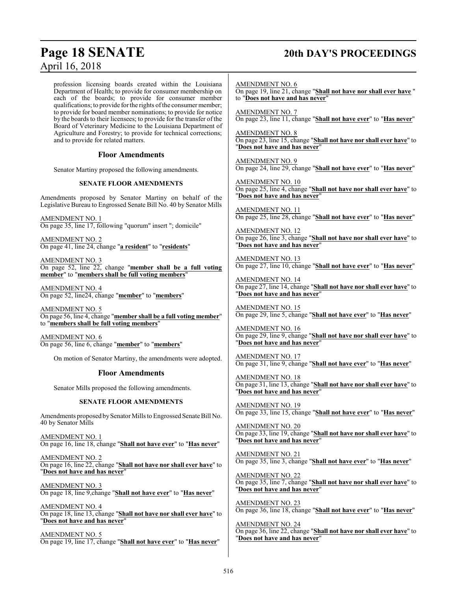## **Page 18 SENATE 20th DAY'S PROCEEDINGS**

profession licensing boards created within the Louisiana Department of Health; to provide for consumer membership on each of the boards; to provide for consumer member qualifications; to provide for the rights of the consumer member; to provide for board member nominations; to provide for notice by the boards to their licensees; to provide for the transfer of the Board of Veterinary Medicine to the Louisiana Department of Agriculture and Forestry; to provide for technical corrections; and to provide for related matters.

### **Floor Amendments**

Senator Martiny proposed the following amendments.

#### **SENATE FLOOR AMENDMENTS**

Amendments proposed by Senator Martiny on behalf of the Legislative Bureau to Engrossed Senate Bill No. 40 by Senator Mills

AMENDMENT NO. 1 On page 35, line 17, following "quorum" insert "; domicile"

AMENDMENT NO. 2 On page 41, line 24, change "**a resident**" to "**residents**"

AMENDMENT NO. 3 On page 52, line 22, change "**member shall be a full voting member**" to "**members shall be full voting members**"

AMENDMENT NO. 4 On page 52, line24, change "**member**" to "**members**"

AMENDMENT NO. 5 On page 56, line 4, change "**member shall be a full voting member**" to "**members shall be full voting members**"

AMENDMENT NO. 6 On page 56, line 6, change "**member**" to "**members**"

On motion of Senator Martiny, the amendments were adopted.

#### **Floor Amendments**

Senator Mills proposed the following amendments.

#### **SENATE FLOOR AMENDMENTS**

Amendments proposed by Senator Mills to Engrossed Senate Bill No. 40 by Senator Mills

AMENDMENT NO. 1 On page 16, line 18, change "**Shall not have ever**" to "**Has never**"

AMENDMENT NO. 2 On page 16, line 22, change "**Shall not have nor shall ever have**" to "**Does not have and has never**"

AMENDMENT NO. 3 On page 18, line 9,change "**Shall not have ever**" to "**Has never**"

AMENDMENT NO. 4 On page 18, line 13, change "**Shall not have nor shall ever have**" to "**Does not have and has never**"

AMENDMENT NO. 5 On page 19, line 17, change "**Shall not have ever**" to "**Has never**" AMENDMENT NO. 6

On page 19, line 21, change "**Shall not have nor shall ever have** " to "**Does not have and has never**"

AMENDMENT NO. 7 On page 23, line 11, change "**Shall not have ever**" to "**Has never**"

AMENDMENT NO. 8 On page 23, line 15, change "**Shall not have nor shall ever have**" to "**Does not have and has never**"

AMENDMENT NO. 9 On page 24, line 29, change "**Shall not have ever**" to "**Has never**"

AMENDMENT NO. 10 On page 25, line 4, change "**Shall not have nor shall ever have**" to "**Does not have and has never**"

AMENDMENT NO. 11 On page 25, line 28, change "**Shall not have ever**" to "**Has never**"

AMENDMENT NO. 12 On page 26, line 3, change "**Shall not have nor shall ever have**" to "**Does not have and has never**"

AMENDMENT NO. 13 On page 27, line 10, change "**Shall not have ever**" to "**Has never**"

AMENDMENT NO. 14 On page 27, line 14, change "**Shall not have nor shall ever have**" to "**Does not have and has never**"

AMENDMENT NO. 15 On page 29, line 5, change "**Shall not have ever**" to "**Has never**"

AMENDMENT NO. 16 On page 29, line 9, change "**Shall not have nor shall ever have**" to "**Does not have and has never**"

AMENDMENT NO. 17 On page 31, line 9, change "**Shall not have ever**" to "**Has never**"

AMENDMENT NO. 18 On page 31, line 13, change "**Shall not have nor shall ever have**" to "**Does not have and has never**"

AMENDMENT NO. 19 On page 33, line 15, change "**Shall not have ever**" to "**Has never**"

AMENDMENT NO. 20 On page 33, line 19, change "**Shall not have nor shall ever have**" to "**Does not have and has never**"

AMENDMENT NO. 21 On page 35, line 3, change "**Shall not have ever**" to "**Has never**"

AMENDMENT NO. 22 On page 35, line 7, change "**Shall not have nor shall ever have**" to "**Does not have and has never**"

AMENDMENT NO. 23 On page 36, line 18, change "**Shall not have ever**" to "**Has never**"

AMENDMENT NO. 24 On page 36, line 22, change "**Shall not have nor shall ever have**" to "**Does not have and has never**"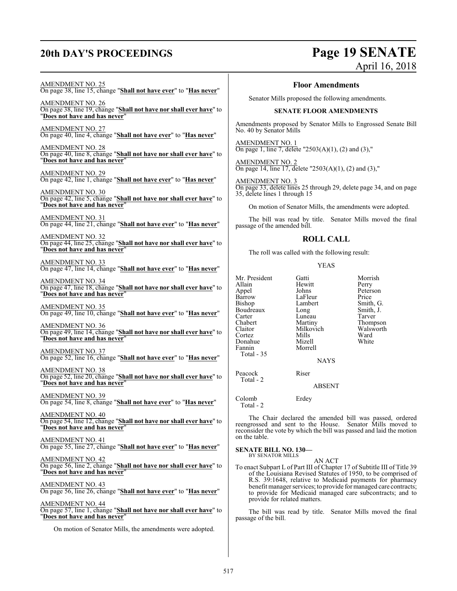## **20th DAY'S PROCEEDINGS Page 19 SENATE** April 16, 2018

AMENDMENT NO. 25

## On page 38, line 15, change "**Shall not have ever**" to "**Has never**"

AMENDMENT NO. 26 On page 38, line 19, change "**Shall not have nor shall ever have**" to "**Does not have and has never**"

AMENDMENT NO. 27 On page 40, line 4, change "**Shall not have ever**" to "**Has never**"

AMENDMENT NO. 28 On page 40, line 8, change "**Shall not have nor shall ever have**" to "**Does not have and has never**"

#### AMENDMENT NO. 29

On page 42, line 1, change "**Shall not have ever**" to "**Has never**"

AMENDMENT NO. 30 On page 42, line 5, change "**Shall not have nor shall ever have**" to "**Does not have and has never**"

AMENDMENT NO. 31 On page 44, line 21, change "**Shall not have ever**" to "**Has never**"

AMENDMENT NO. 32 On page 44, line 25, change "**Shall not have nor shall ever have**" to "**Does not have and has never**"

#### AMENDMENT NO. 33 On page 47, line 14, change "**Shall not have ever**" to "**Has never**"

AMENDMENT NO. 34 On page 47, line 18, change "**Shall not have nor shall ever have**" to "**Does not have and has never**"

AMENDMENT NO. 35 On page 49, line 10, change "**Shall not have ever**" to "**Has never**"

AMENDMENT NO. 36 On page 49, line 14, change "**Shall not have nor shall ever have**" to "**Does not have and has never**"

AMENDMENT NO. 37 On page 52, line 16, change "**Shall not have ever**" to "**Has never**"

AMENDMENT NO. 38 On page 52, line 20, change "**Shall not have nor shall ever have**" to "**Does not have and has never**"

AMENDMENT NO. 39 On page 54, line 8, change "**Shall not have ever**" to "**Has never**"

AMENDMENT NO. 40 On page 54, line 12, change "**Shall not have nor shall ever have**" to "**Does not have and has never**"

AMENDMENT NO. 41 On page 55, line 27, change "**Shall not have ever**" to "**Has never**"

AMENDMENT NO. 42 On page 56, line 2, change "**Shall not have nor shall ever have**" to "**Does not have and has never**"

AMENDMENT NO. 43 On page 56, line 26, change "**Shall not have ever**" to "**Has never**"

#### AMENDMENT NO. 44

On page 57, line 1, change "**Shall not have nor shall ever have**" to "**Does not have and has never**"

On motion of Senator Mills, the amendments were adopted.

#### **Floor Amendments**

Senator Mills proposed the following amendments.

#### **SENATE FLOOR AMENDMENTS**

Amendments proposed by Senator Mills to Engrossed Senate Bill No. 40 by Senator Mills

AMENDMENT NO. 1 On page 1, line 7, delete "2503(A)(1), (2) and (3),"

AMENDMENT NO. 2 On page 14, line 17, delete "2503(A)(1), (2) and (3),"

AMENDMENT NO. 3 On page 33, delete lines 25 through 29, delete page 34, and on page 35, delete lines 1 through 15

On motion of Senator Mills, the amendments were adopted.

The bill was read by title. Senator Mills moved the final passage of the amended bill.

#### **ROLL CALL**

The roll was called with the following result:

#### YEAS

| Mr. President<br>Allain<br>Appel<br>Barrow<br><b>Bishop</b><br>Boudreaux<br>Carter<br>Chabert<br>Claitor<br>Cortez<br>Donahue<br>Fannin | Gatti<br>Hewitt<br>Johns<br>LaFleur<br>Lambert<br>Long<br>Luneau<br>Martiny<br>Milkovich<br>Mills<br>Mizell<br>Morrell | Morrish<br>Perry<br>Peterson<br>Price<br>Smith, G.<br>Smith, J.<br>Tarver<br>Thompson<br>Walsworth<br>Ward<br>White |
|-----------------------------------------------------------------------------------------------------------------------------------------|------------------------------------------------------------------------------------------------------------------------|---------------------------------------------------------------------------------------------------------------------|
| Total - 35                                                                                                                              | <b>NAYS</b>                                                                                                            |                                                                                                                     |
| Peacock<br>Total - 2                                                                                                                    | Riser                                                                                                                  |                                                                                                                     |
|                                                                                                                                         | <b>ABSENT</b>                                                                                                          |                                                                                                                     |
| Colomb                                                                                                                                  | Erdey                                                                                                                  |                                                                                                                     |

Total - 2

The Chair declared the amended bill was passed, ordered reengrossed and sent to the House. Senator Mills moved to reconsider the vote by which the bill was passed and laid the motion on the table.

## **SENATE BILL NO. 130—** BY SENATOR MILLS

AN ACT

To enact Subpart L of Part III of Chapter 17 of Subtitle III of Title 39 of the Louisiana Revised Statutes of 1950, to be comprised of R.S. 39:1648, relative to Medicaid payments for pharmacy benefit manager services; to provide for managed care contracts; to provide for Medicaid managed care subcontracts; and to provide for related matters.

The bill was read by title. Senator Mills moved the final passage of the bill.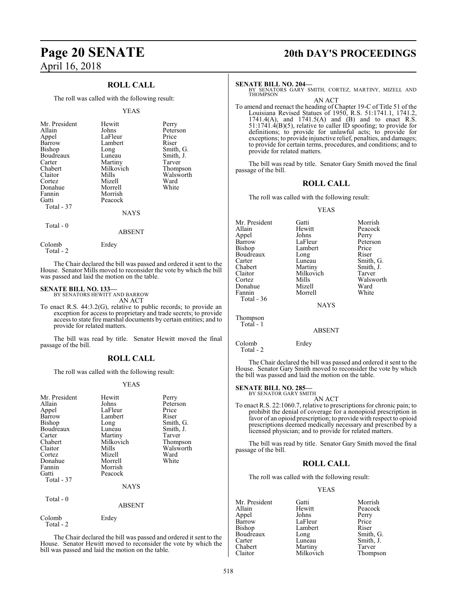### **ROLL CALL**

The roll was called with the following result:

#### YEAS

| Allain<br>Johns<br>Appel<br>Barrow<br><b>Bishop</b><br>Boudreaux<br>Carter<br>Chabert<br>Claitor<br>Cortez<br>Donahue<br>Fannin<br>Gatti<br>Total - 37 | LaFleur<br>Lambert<br>Long<br>Luneau<br>Martiny<br>Milkovich<br>Mills<br>Mizell<br>Morrell<br>Morrish<br>Peacock<br><b>NAYS</b> | Price<br>Riser<br>Smith, G.<br>Smith, J.<br>Tarver<br>Thompson<br>Walsworth<br>Ward<br>White |
|--------------------------------------------------------------------------------------------------------------------------------------------------------|---------------------------------------------------------------------------------------------------------------------------------|----------------------------------------------------------------------------------------------|
|--------------------------------------------------------------------------------------------------------------------------------------------------------|---------------------------------------------------------------------------------------------------------------------------------|----------------------------------------------------------------------------------------------|

#### ABSENT

The Chair declared the bill was passed and ordered it sent to the House. Senator Mills moved to reconsider the vote by which the bill was passed and laid the motion on the table.

#### **SENATE BILL NO. 133—**

Colomb Erdey

Total - 0

Total - 2

Total - 2

BY SENATORS HEWITT AND BARROW AN ACT

To enact R.S. 44:3.2(G), relative to public records; to provide an exception for access to proprietary and trade secrets; to provide access to state fire marshal documents by certain entities; and to provide for related matters.

The bill was read by title. Senator Hewitt moved the final passage of the bill.

#### **ROLL CALL**

The roll was called with the following result:

#### YEAS

| Mr. President<br>Allain<br>Appel<br>Barrow<br>Bishop<br>Boudreaux<br>Carter<br>Chabert<br>Claitor<br>Cortez<br>Donahue<br>Fannin<br>Gatti<br>Total - 37 | Hewitt<br>Johns<br>LaFleur<br>Lambert<br>Long<br>Luneau<br>Martiny<br>Milkovich<br>Mills<br>Mizell<br>Morrell<br>Morrish<br>Peacock<br><b>NAYS</b> | Perry<br>Peterson<br>Price<br>Riser<br>Smith, G.<br>Smith, J.<br>Tarver<br>Thompson<br>Walsworth<br>Ward<br>White |
|---------------------------------------------------------------------------------------------------------------------------------------------------------|----------------------------------------------------------------------------------------------------------------------------------------------------|-------------------------------------------------------------------------------------------------------------------|
| Total - 0                                                                                                                                               | <b>ABSENT</b>                                                                                                                                      |                                                                                                                   |
| Colomb                                                                                                                                                  | Erdey                                                                                                                                              |                                                                                                                   |

The Chair declared the bill was passed and ordered it sent to the House. Senator Hewitt moved to reconsider the vote by which the bill was passed and laid the motion on the table.

## **Page 20 SENATE 20th DAY'S PROCEEDINGS**

#### **SENATE BILL NO. 204—**

BY SENATORS GARY SMITH, CORTEZ, MARTINY, MIZELL AND THOMPSON

AN ACT To amend and reenact the heading of Chapter 19-C of Title 51 of the Louisiana Revised Statues of 1950, R.S. 51:1741.1, 1741.2, 1741.4(A), and 1741.5(A) and (B) and to enact R.S. 51:1741.4(B)(5), relative to caller ID spoofing; to provide for definitions; to provide for unlawful acts; to provide for exceptions; to provide injunctive relief, penalties, and damages; to provide for certain terms, procedures, and conditions; and to provide for related matters.

The bill was read by title. Senator Gary Smith moved the final passage of the bill.

#### **ROLL CALL**

The roll was called with the following result:

#### YEAS

Mr. President Gatti Gatti Morrish<br>Allain Hewitt Peacock Hewitt Peacock<br>Johns Perry Appel Johns<br>Barrow LaFleur Barrow LaFleur Peterson<br>Bishop Lambert Price Lambert Price<br>
Long Riser Boudreaux Long<br>Carter Luneau Carter Luneau Smith, G.<br>
Chabert Martiny Smith, J. Chabert Martiny Smith, J.<br>Claitor Milkovich Tarver Claitor Milkovich<br>Cortez Mills Mills Walsworth<br>
Mizell Ward Donahue Mizell Ward Morrell Total - 36 **NAYS** 

Total - 1

Thompson

ABSENT

Colomb Erdey Total - 2

The Chair declared the bill was passed and ordered it sent to the House. Senator Gary Smith moved to reconsider the vote by which the bill was passed and laid the motion on the table.

#### **SENATE BILL NO. 285** BY SENATOR GARY SMITH

- 
- To enact R.S. 22:1060.7, relative to prescriptions for chronic pain; to prohibit the denial of coverage for a nonopioid prescription in favor of an opioid prescription; to provide with respect to opioid prescriptions deemed medically necessary and prescribed by a licensed physician; and to provide for related matters.

AN ACT

The bill was read by title. Senator Gary Smith moved the final passage of the bill.

#### **ROLL CALL**

The roll was called with the following result:

#### YEAS

Mr. President Gatti Morrish<br>Allain Hewitt Peacock Hewitt Peacock<br>
Johns Perry Appel Johns Perry Barrow LaFleur Price<br>Bishop Lambert Riser Lambert Riser<br>
Long Smith, G. Boudreaux Long<br>Carter Luneau Carter Luneau Smith, J.<br>
Chabert Martiny Tarver Chabert Martiny<br>Claitor Milkovich Thompson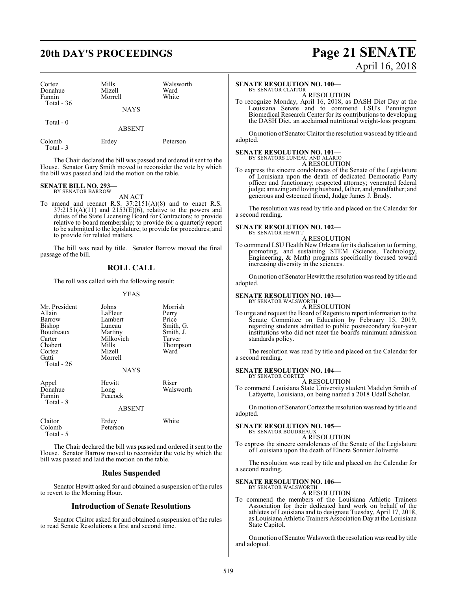## **20th DAY'S PROCEEDINGS Page 21 SENATE**

| Cortez<br>Donahue<br>Fannin<br>Total $-36$ | Mills<br>Mizell<br>Morrell | Walsworth<br>Ward<br>White |
|--------------------------------------------|----------------------------|----------------------------|
|                                            | <b>NAYS</b>                |                            |
| Total - 0                                  | <b>ABSENT</b>              |                            |

Colomb Erdey Peterson Total - 3

The Chair declared the bill was passed and ordered it sent to the House. Senator Gary Smith moved to reconsider the vote by which the bill was passed and laid the motion on the table.

## **SENATE BILL NO. 293—** BY SENATOR BARROW

AN ACT

To amend and reenact R.S. 37:2151(A)(8) and to enact R.S.  $37:2151(A)(11)$  and  $2153(E)(6)$ , relative to the powers and duties of the State Licensing Board for Contractors; to provide relative to board membership; to provide for a quarterly report to be submitted to the legislature; to provide for procedures; and to provide for related matters.

The bill was read by title. Senator Barrow moved the final passage of the bill.

### **ROLL CALL**

The roll was called with the following result:

#### YEAS

| Mr. President<br>Allain<br>Barrow<br>Bishop<br>Boudreaux<br>Carter<br>Chabert<br>Cortez<br>Gatti<br>Total - 26 | Johns<br>LaFleur<br>Lambert<br>Luneau<br>Martiny<br>Milkovich<br>Mills<br>Mizell<br>Morrell<br>NAYS | Morrish<br>Perry<br>Price<br>Smith, G.<br>Smith, J.<br>Tarver<br>Thompson<br>Ward |
|----------------------------------------------------------------------------------------------------------------|-----------------------------------------------------------------------------------------------------|-----------------------------------------------------------------------------------|
| Appel<br>Donahue<br>Fannin<br>Total - 8                                                                        | Hewitt<br>Long<br>Peacock<br>ABSENT                                                                 | Riser<br>Walsworth                                                                |
| Claitor<br>Colomb<br>Total - 5                                                                                 | Erdey<br>Peterson                                                                                   | White                                                                             |
|                                                                                                                | .                                                                                                   |                                                                                   |

The Chair declared the bill was passed and ordered it sent to the House. Senator Barrow moved to reconsider the vote by which the bill was passed and laid the motion on the table.

#### **Rules Suspended**

Senator Hewitt asked for and obtained a suspension of the rules to revert to the Morning Hour.

#### **Introduction of Senate Resolutions**

Senator Claitor asked for and obtained a suspension of the rules to read Senate Resolutions a first and second time.

# April 16, 2018

#### **SENATE RESOLUTION NO. 100—**

BY SENATOR CLAITOR A RESOLUTION

To recognize Monday, April 16, 2018, as DASH Diet Day at the Louisiana Senate and to commend LSU's Pennington Biomedical Research Center for its contributions to developing the DASH Diet, an acclaimed nutritional weight-loss program.

On motion of Senator Claitor the resolution was read by title and adopted.

## **SENATE RESOLUTION NO. 101—** BY SENATORS LUNEAU AND ALARIO

A RESOLUTION

To express the sincere condolences of the Senate of the Legislature of Louisiana upon the death of dedicated Democratic Party officer and functionary; respected attorney; venerated federal judge; amazing and loving husband, father, and grandfather; and generous and esteemed friend, Judge James J. Brady.

The resolution was read by title and placed on the Calendar for a second reading.

## **SENATE RESOLUTION NO. 102—** BY SENATOR HEWITT

A RESOLUTION

To commend LSU Health New Orleans for its dedication to forming, promoting, and sustaining STEM (Science, Technology, Engineering, & Math) programs specifically focused toward increasing diversity in the sciences.

On motion of Senator Hewitt the resolution was read by title and adopted.

#### **SENATE RESOLUTION NO. 103—**

BY SENATOR WALSWORTH A RESOLUTION

To urge and request the Board ofRegents to report information to the Senate Committee on Education by February 15, 2019, regarding students admitted to public postsecondary four-year institutions who did not meet the board's minimum admission standards policy.

The resolution was read by title and placed on the Calendar for a second reading.

#### **SENATE RESOLUTION NO. 104—**

BY SENATOR CORTEZ A RESOLUTION

To commend Louisiana State University student Madelyn Smith of Lafayette, Louisiana, on being named a 2018 Udall Scholar.

On motion of Senator Cortez the resolution was read by title and adopted.

## **SENATE RESOLUTION NO. 105—** BY SENATOR BOUDREAUX

A RESOLUTION

To express the sincere condolences of the Senate of the Legislature of Louisiana upon the death of Elnora Sonnier Jolivette.

The resolution was read by title and placed on the Calendar for a second reading.

## **SENATE RESOLUTION NO. 106—** BY SENATOR WALSWORTH

A RESOLUTION

To commend the members of the Louisiana Athletic Trainers Association for their dedicated hard work on behalf of the athletes of Louisiana and to designate Tuesday, April 17, 2018, as Louisiana Athletic Trainers Association Day at the Louisiana State Capitol.

On motion of Senator Walsworth the resolution was read by title and adopted.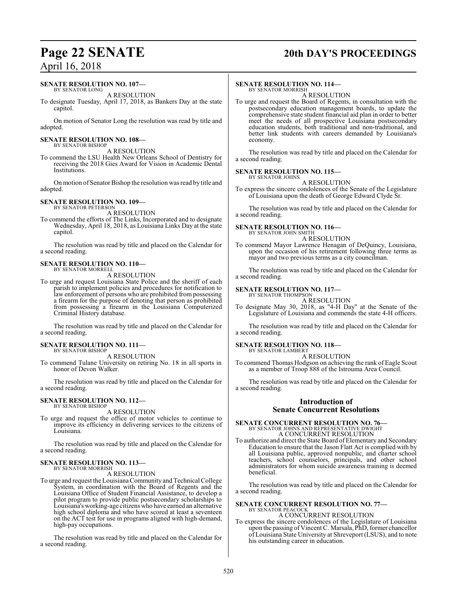## **Page 22 SENATE 20th DAY'S PROCEEDINGS**

## April 16, 2018

#### **SENATE RESOLUTION NO. 107—**

BY SENATOR LONG A RESOLUTION

To designate Tuesday, April 17, 2018, as Bankers Day at the state capitol.

On motion of Senator Long the resolution was read by title and adopted.

#### **SENATE RESOLUTION NO. 108—** BY SENATOR BISHOP

A RESOLUTION

To commend the LSU Health New Orleans School of Dentistry for receiving the 2018 Gies Award for Vision in Academic Dental Institutions.

On motion of Senator Bishop the resolution was read by title and adopted.

#### **SENATE RESOLUTION NO. 109—** BY SENATOR PETERSON

A RESOLUTION

To commend the efforts of The Links, Incorporated and to designate Wednesday, April 18, 2018, as Louisiana Links Day at the state capitol.

The resolution was read by title and placed on the Calendar for a second reading.

#### **SENATE RESOLUTION NO. 110—** BY SENATOR MORRELL

A RESOLUTION

To urge and request Louisiana State Police and the sheriff of each parish to implement policies and procedures for notification to law enforcement of persons who are prohibited from possessing a firearm for the purpose of denoting that person as prohibited from possessing a firearm in the Louisiana Computerized Criminal History database.

The resolution was read by title and placed on the Calendar for a second reading.

#### **SENATE RESOLUTION NO. 111—** BY SENATOR BISHOP

A RESOLUTION

To commend Tulane University on retiring No. 18 in all sports in honor of Devon Walker.

The resolution was read by title and placed on the Calendar for a second reading.

#### **SENATE RESOLUTION NO. 112—** BY SENATOR BISHOP

A RESOLUTION

To urge and request the office of motor vehicles to continue to improve its efficiency in delivering services to the citizens of Louisiana.

The resolution was read by title and placed on the Calendar for a second reading.

#### **SENATE RESOLUTION NO. 113—** BY SENATOR MORRISH

A RESOLUTION

To urge and request the LouisianaCommunity and Technical College System, in coordination with the Board of Regents and the Louisiana Office of Student Financial Assistance, to develop a pilot program to provide public postsecondary scholarships to Louisiana's working-age citizens who have earned an alternative high school diploma and who have scored at least a seventeen on the ACT test for use in programs aligned with high-demand, high-pay occupations.

The resolution was read by title and placed on the Calendar for a second reading.

#### **SENATE RESOLUTION NO. 114—**

BY SENATOR MORRISH A RESOLUTION

To urge and request the Board of Regents, in consultation with the postsecondary education management boards, to update the comprehensive state student financial aid plan in order to better meet the needs of all prospective Louisiana postsecondary education students, both traditional and non-traditional, and better link students with careers demanded by Louisiana's economy.

The resolution was read by title and placed on the Calendar for a second reading.

#### **SENATE RESOLUTION NO. 115—** BY SENATOR JOHNS

A RESOLUTION

To express the sincere condolences of the Senate of the Legislature of Louisiana upon the death of George Edward Clyde Sr.

The resolution was read by title and placed on the Calendar for a second reading.

## **SENATE RESOLUTION NO. 116—**<br>BY SENATOR JOHN SMITH

A RESOLUTION

To commend Mayor Lawrence Henagan of DeQuincy, Louisiana, upon the occasion of his retirement following three terms as mayor and two previous terms as a city councilman.

The resolution was read by title and placed on the Calendar for a second reading.

#### **SENATE RESOLUTION NO. 117—**

BY SENATOR THOMPSON

A RESOLUTION To designate May 30, 2018, as "4-H Day" at the Senate of the Legislature of Louisiana and commends the state 4-H officers.

The resolution was read by title and placed on the Calendar for a second reading.

#### **SENATE RESOLUTION NO. 118—**

BY SENATOR LAMBERT A RESOLUTION

To commend Thomas Hodgson on achieving the rank of Eagle Scout as a member of Troop 888 of the Istrouma Area Council.

The resolution was read by title and placed on the Calendar for a second reading.

### **Introduction of Senate Concurrent Resolutions**

## **SENATE CONCURRENT RESOLUTION NO. 76—** BY SENATOR JOHNS AND REPRESENTATIVE DWIGHT A CONCURRENT RESOLUTION

To authorize and direct the State Board of Elementary and Secondary Education to ensure that the Jason Flatt Act is complied with by all Louisiana public, approved nonpublic, and charter school teachers, school counselors, principals, and other school administrators for whom suicide awareness training is deemed beneficial.

The resolution was read by title and placed on the Calendar for a second reading.

#### **SENATE CONCURRENT RESOLUTION NO. 77—** BY SENATOR PEACOCK

A CONCURRENT RESOLUTION

To express the sincere condolences of the Legislature of Louisiana upon the passing of Vincent C. Marsala, PhD, former chancellor of Louisiana State University at Shreveport (LSUS), and to note his outstanding career in education.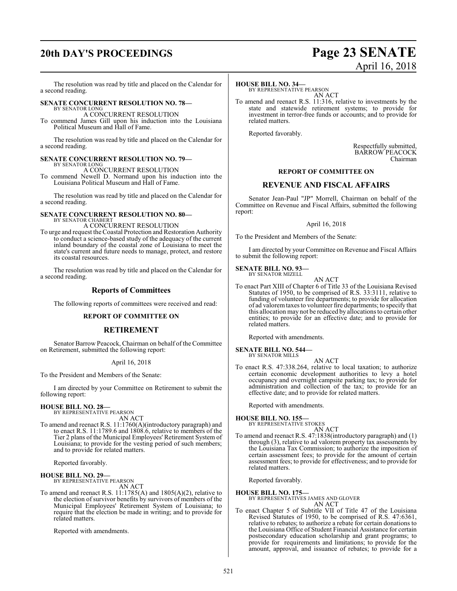## **20th DAY'S PROCEEDINGS Page 23 SENATE**

# April 16, 2018

The resolution was read by title and placed on the Calendar for a second reading.

#### **SENATE CONCURRENT RESOLUTION NO. 78—**

BY SENATOR LONG A CONCURRENT RESOLUTION

To commend James Gill upon his induction into the Louisiana Political Museum and Hall of Fame.

The resolution was read by title and placed on the Calendar for a second reading.

#### **SENATE CONCURRENT RESOLUTION NO. 79—** BY SENATOR LONG

A CONCURRENT RESOLUTION

To commend Newell D. Normand upon his induction into the Louisiana Political Museum and Hall of Fame.

The resolution was read by title and placed on the Calendar for a second reading.

#### **SENATE CONCURRENT RESOLUTION NO. 80—** BY SENATOR CHABERT

A CONCURRENT RESOLUTION

To urge and request the Coastal Protection and Restoration Authority to conduct a science-based study of the adequacy of the current inland boundary of the coastal zone of Louisiana to meet the state's current and future needs to manage, protect, and restore its coastal resources.

The resolution was read by title and placed on the Calendar for a second reading.

#### **Reports of Committees**

The following reports of committees were received and read:

#### **REPORT OF COMMITTEE ON**

#### **RETIREMENT**

Senator Barrow Peacock, Chairman on behalf of the Committee on Retirement, submitted the following report:

#### April 16, 2018

To the President and Members of the Senate:

I am directed by your Committee on Retirement to submit the following report:

## **HOUSE BILL NO. 28—** BY REPRESENTATIVE PEARSON

AN ACT

To amend and reenact R.S. 11:1760(A)(introductory paragraph) and to enact R.S. 11:1789.6 and 1808.6, relative to members of the Tier 2 plans of the Municipal Employees' Retirement System of Louisiana; to provide for the vesting period of such members; and to provide for related matters.

Reported favorably.

#### **HOUSE BILL NO. 29—**

BY REPRESENTATIVE PEARSON AN ACT

To amend and reenact R.S. 11:1785(A) and 1805(A)(2), relative to the election of survivor benefits by survivors of members of the Municipal Employees' Retirement System of Louisiana; to require that the election be made in writing; and to provide for related matters.

Reported with amendments.

#### **HOUSE BILL NO. 34—**

BY REPRESENTATIVE PEARSON AN ACT

To amend and reenact R.S. 11:316, relative to investments by the state and statewide retirement systems; to provide for investment in terror-free funds or accounts; and to provide for related matters.

Reported favorably.

Respectfully submitted, BARROW PEACOCK Chairman

#### **REPORT OF COMMITTEE ON**

#### **REVENUE AND FISCAL AFFAIRS**

Senator Jean-Paul "JP" Morrell, Chairman on behalf of the Committee on Revenue and Fiscal Affairs, submitted the following report:

April 16, 2018

To the President and Members of the Senate:

I am directed by your Committee on Revenue and Fiscal Affairs to submit the following report:

## **SENATE BILL NO. 93—** BY SENATOR MIZELL

AN ACT To enact Part XIII of Chapter 6 of Title 33 of the Louisiana Revised Statutes of 1950, to be comprised of R.S. 33:3111, relative to funding of volunteer fire departments; to provide for allocation of ad valoremtaxes to volunteer fire departments; to specify that this allocation may not be reduced by allocations to certain other entities; to provide for an effective date; and to provide for related matters.

Reported with amendments.

#### **SENATE BILL NO. 544—** BY SENATOR MILLS

- 
- To enact R.S. 47:338.264, relative to local taxation; to authorize certain economic development authorities to levy a hotel occupancy and overnight campsite parking tax; to provide for administration and collection of the tax; to provide for an effective date; and to provide for related matters.

AN ACT

Reported with amendments.

## **HOUSE BILL NO. 155—** BY REPRESENTATIVE STOKES

AN ACT

- To amend and reenact R.S. 47:1838(introductory paragraph) and (1) through (3), relative to ad valorem property tax assessments by the Louisiana Tax Commission; to authorize the imposition of
	- certain assessment fees; to provide for the amount of certain assessment fees; to provide for effectiveness; and to provide for related matters.

Reported favorably.

**HOUSE BILL NO. 175—** BY REPRESENTATIVES JAMES AND GLOVER AN ACT

To enact Chapter 5 of Subtitle VII of Title 47 of the Louisiana Revised Statutes of 1950, to be comprised of R.S. 47:6361, relative to rebates; to authorize a rebate for certain donations to the Louisiana Office of Student Financial Assistance for certain postsecondary education scholarship and grant programs; to provide for requirements and limitations; to provide for the amount, approval, and issuance of rebates; to provide for a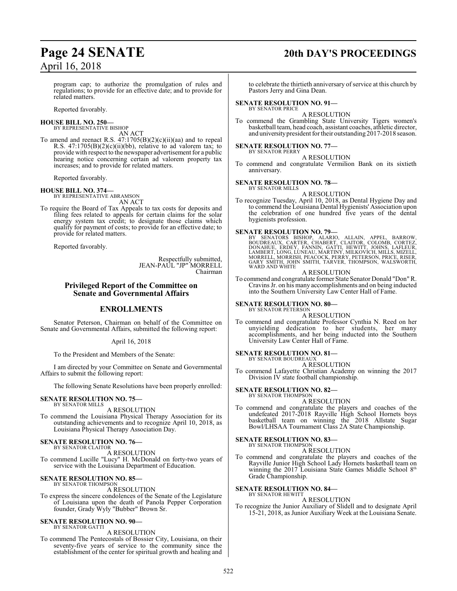## **Page 24 SENATE 20th DAY'S PROCEEDINGS**

program cap; to authorize the promulgation of rules and regulations; to provide for an effective date; and to provide for related matters.

Reported favorably.

## **HOUSE BILL NO. 250—** BY REPRESENTATIVE BISHOP

AN ACT

To amend and reenact R.S.  $47:1705(B)(2)(c)(ii)(aa)$  and to repeal R.S.  $47:1705(B)(2)(c)(ii)(bb)$ , relative to ad valorem tax; to provide with respect to the newspaper advertisement for a public hearing notice concerning certain ad valorem property tax increases; and to provide for related matters.

Reported favorably.

#### **HOUSE BILL NO. 374—**

BY REPRESENTATIVE ABRAMSON AN ACT

To require the Board of Tax Appeals to tax costs for deposits and filing fees related to appeals for certain claims for the solar energy system tax credit; to designate those claims which qualify for payment of costs; to provide for an effective date; to provide for related matters.

Reported favorably.

Respectfully submitted, JEAN-PAUL "JP" MORRELL Chairman

#### **Privileged Report of the Committee on Senate and Governmental Affairs**

#### **ENROLLMENTS**

Senator Peterson, Chairman on behalf of the Committee on Senate and Governmental Affairs, submitted the following report:

#### April 16, 2018

To the President and Members of the Senate:

I am directed by your Committee on Senate and Governmental Affairs to submit the following report:

The following Senate Resolutions have been properly enrolled:

#### **SENATE RESOLUTION NO. 75—** BY SENATOR MILLS

A RESOLUTION

To commend the Louisiana Physical Therapy Association for its outstanding achievements and to recognize April 10, 2018, as Louisiana Physical Therapy Association Day.

## **SENATE RESOLUTION NO. 76—** BY SENATOR CLAITOR

A RESOLUTION

To commend Lucille "Lucy" H. McDonald on forty-two years of service with the Louisiana Department of Education.

#### **SENATE RESOLUTION NO. 85—** BY SENATOR THOMPSON

A RESOLUTION

To express the sincere condolences of the Senate of the Legislature of Louisiana upon the death of Panola Pepper Corporation founder, Grady Wyly "Bubber" Brown Sr.

#### **SENATE RESOLUTION NO. 90—** BY SENATOR GATTI

A RESOLUTION

To commend The Pentecostals of Bossier City, Louisiana, on their seventy-five years of service to the community since the establishment of the center for spiritual growth and healing and

to celebrate the thirtieth anniversary of service at this church by Pastors Jerry and Gina Dean.

#### **SENATE RESOLUTION NO. 91—** BY SENATOR PRICE

A RESOLUTION

To commend the Grambling State University Tigers women's basketball team, head coach, assistant coaches, athletic director, and universitypresident for their outstanding 2017-2018 season.

#### **SENATE RESOLUTION NO. 77—**

BY SENATOR PERRY A RESOLUTION

To commend and congratulate Vermilion Bank on its sixtieth anniversary.

#### **SENATE RESOLUTION NO. 78—** BY SENATOR MILLS

A RESOLUTION

To recognize Tuesday, April 10, 2018, as Dental Hygiene Day and to commend the Louisiana Dental Hygienists' Association upon the celebration of one hundred five years of the dental hygienists profession.

#### **SENATE RESOLUTION NO. 79—**

BY SENATORS BISHOP, ALARIO, ALLAIN, APPEL, BARROW,<br>BOUDREAUX, CARTER, CHABERT, CLAITOR, COLOMB, CORTEZ,<br>DONAHUE, ERDEY, FANNIN, GATTI, HEWITT, JOHNS, LAFLEUR,<br>LAMBERT,LONG,LUNEAU, MARTINY,MILKOVICH,MILLS,MIZELL,<br>MORRELL,MO WARD AND WHITE

#### A RESOLUTION

To commend and congratulate former State Senator Donald "Don"R. Cravins Jr. on his many accomplishments and on being inducted into the Southern University Law Center Hall of Fame.

#### **SENATE RESOLUTION NO. 80—** BY SENATOR PETERSON

A RESOLUTION

To commend and congratulate Professor Cynthia N. Reed on her unyielding dedication to her students, her many accomplishments, and her being inducted into the Southern University Law Center Hall of Fame.

#### **SENATE RESOLUTION NO. 81—**

BY SENATOR BOUDREAUX A RESOLUTION

To commend Lafayette Christian Academy on winning the 2017 Division IV state football championship.

#### **SENATE RESOLUTION NO. 82—** BY SENATOR THOMPSON

A RESOLUTION To commend and congratulate the players and coaches of the undefeated 2017-2018 Rayville High School Hornets boys basketball team on winning the 2018 Allstate Sugar Bowl/LHSAA Tournament Class 2A State Championship.

#### **SENATE RESOLUTION NO. 83—** BY SENATOR THOMPSON

A RESOLUTION

To commend and congratulate the players and coaches of the Rayville Junior High School Lady Hornets basketball team on winning the 2017 Louisiana State Games Middle School 8<sup>th</sup> Grade Championship.

#### **SENATE RESOLUTION NO. 84—** BY SENATOR HEWITT

A RESOLUTION

To recognize the Junior Auxiliary of Slidell and to designate April 15-21, 2018, as Junior Auxiliary Week at the Louisiana Senate.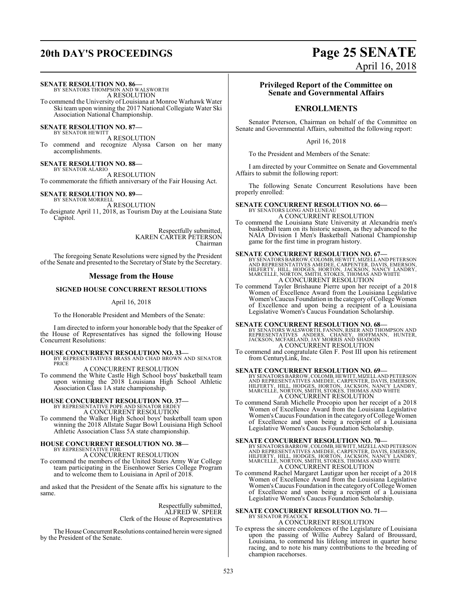## **20th DAY'S PROCEEDINGS Page 25 SENATE**

#### **SENATE RESOLUTION NO. 86—**

BY SENATORS THOMPSON AND WALSWORTH A RESOLUTION To commend the University of Louisiana at Monroe Warhawk Water Ski team upon winning the 2017 National Collegiate Water Ski

Association National Championship.

## **SENATE RESOLUTION NO. 87—**<br>BY SENATOR HEWITT

A RESOLUTION

To commend and recognize Alyssa Carson on her many accomplishments.

#### **SENATE RESOLUTION NO. 88—**

BY SENATOR ALARIO

A RESOLUTION To commemorate the fiftieth anniversary of the Fair Housing Act.

#### **SENATE RESOLUTION NO. 89—**

BY SENATOR MORRELL A RESOLUTION To designate April 11, 2018, as Tourism Day at the Louisiana State Capitol.

> Respectfully submitted, KAREN CARTER PETERSON Chairman

The foregoing Senate Resolutions were signed by the President of the Senate and presented to the Secretary of State by the Secretary.

#### **Message from the House**

#### **SIGNED HOUSE CONCURRENT RESOLUTIONS**

#### April 16, 2018

To the Honorable President and Members of the Senate:

I am directed to inform your honorable body that the Speaker of the House of Representatives has signed the following House Concurrent Resolutions:

## **HOUSE CONCURRENT RESOLUTION NO. 33—** BY REPRESENTATIVES BRASS AND CHAD BROWN AND SENATOR

PRICE

A CONCURRENT RESOLUTION To commend the White Castle High School boys' basketball team upon winning the 2018 Louisiana High School Athletic Association Class 1A state championship.

## **HOUSE CONCURRENT RESOLUTION NO. 37—** BY REPRESENTATIVE POPE AND SENATOR ERDEY

A CONCURRENT RESOLUTION

To commend the Walker High School boys' basketball team upon winning the 2018 Allstate Sugar Bowl Louisiana High School Athletic Association Class 5A state championship.

## **HOUSE CONCURRENT RESOLUTION NO. 38—** BY REPRESENTATIVE FOIL

A CONCURRENT RESOLUTION

To commend the members of the United States Army War College team participating in the Eisenhower Series College Program and to welcome them to Louisiana in April of 2018.

and asked that the President of the Senate affix his signature to the same.

> Respectfully submitted, ALFRED W. SPEER Clerk of the House of Representatives

The House Concurrent Resolutions contained herein were signed by the President of the Senate.

### **Privileged Report of the Committee on Senate and Governmental Affairs**

April 16, 2018

### **ENROLLMENTS**

Senator Peterson, Chairman on behalf of the Committee on Senate and Governmental Affairs, submitted the following report:

#### April 16, 2018

To the President and Members of the Senate:

I am directed by your Committee on Senate and Governmental Affairs to submit the following report:

The following Senate Concurrent Resolutions have been properly enrolled:

#### **SENATE CONCURRENT RESOLUTION NO. 66—**

BY SENATORS LONG AND LUNEAU A CONCURRENT RESOLUTION

To commend the Louisiana State University at Alexandria men's basketball team on its historic season, as they advanced to the NAIA Division I Men's Basketball National Championship game for the first time in program history.

#### **SENATE CONCURRENT RESOLUTION NO. 67—**

BY SENATORS BARROW, COLOMB, HEWITT, MIZELL AND PETERSON<br>AND REPRESENTATIVES AMEDEE, CARPENTER, DAVIS, EMERSON,<br>HILFERTY, HILL, HODGES, HORTON, JACKSON, NANCY LANDRY,<br>MARCELLE, NORTON, SMITH, STOKES, THOMAS AND WHITE A CONCURRENT RESOLUTION

To commend Tayler Brishaune Pierre upon her receipt of a 2018 Women of Excellence Award from the Louisiana Legislative Women's Caucus Foundation in the category of College Women of Excellence and upon being a recipient of a Louisiana Legislative Women's Caucus Foundation Scholarship.

**SENATE CONCURRENT RESOLUTION NO. 68—**<br>
BY SENATORS WALSWORTH, FANNIN, RISER AND THOMPSON AND<br>
REPRESENTATIVES ANDERS, CHANEY, HOFFMANN, HUNTER,<br>
JACKSON, MCFARLAND, JAY MORRIS AND SHADOIN<br>
A CONCURRENT RESOLUTION

To commend and congratulate Glen F. Post III upon his retirement from CenturyLink, Inc.

#### **SENATE CONCURRENT RESOLUTION NO. 69—**

BY SENATORS BARROW, COLOMB, HEWITT, MIZELL AND PETERSON<br>AND REPRESENTATIVES AMEDEE, CARPENTER, DAVIS, EMERSON,<br>HILFERTY, HILL, HODGES, HORTON, JACKSON, NANCY LANDRY,<br>MARCELLE, NORTON, SMITH, STOKES, THOMAS AND WHITE<br>A CONC

To commend Sarah Michelle Procopio upon her receipt of a 2018 Women of Excellence Award from the Louisiana Legislative Women's Caucus Foundation in the category of College Women of Excellence and upon being a recipient of a Louisiana Legislative Women's Caucus Foundation Scholarship.

#### **SENATE CONCURRENT RESOLUTION NO. 70—**

BY SENATORS BARROW, COLOMB, HEWITT, MIZELL AND PETERSON<br>AND REPRESENTATIVES AMEDEE, CARPENTER, DAVIS, EMERSON,<br>HILFERTY, HILL, HODGES, HORTON, JACKSON, NANCY LANDRY,<br>MARCELLE, NORTON, SMITH, STOKES, THOMAS AND WHITE A CONCURRENT RESOLUTION

To commend Rachel Margaret Lautigar upon her receipt of a 2018 Women of Excellence Award from the Louisiana Legislative Women's Caucus Foundation in the category of College Women of Excellence and upon being a recipient of a Louisiana Legislative Women's Caucus Foundation Scholarship.

## **SENATE CONCURRENT RESOLUTION NO. 71—** BY SENATOR PEACOCK

A CONCURRENT RESOLUTION

To express the sincere condolences of the Legislature of Louisiana upon the passing of Willie Aubrey Salard of Broussard, Louisiana, to commend his lifelong interest in quarter horse racing, and to note his many contributions to the breeding of champion racehorses.